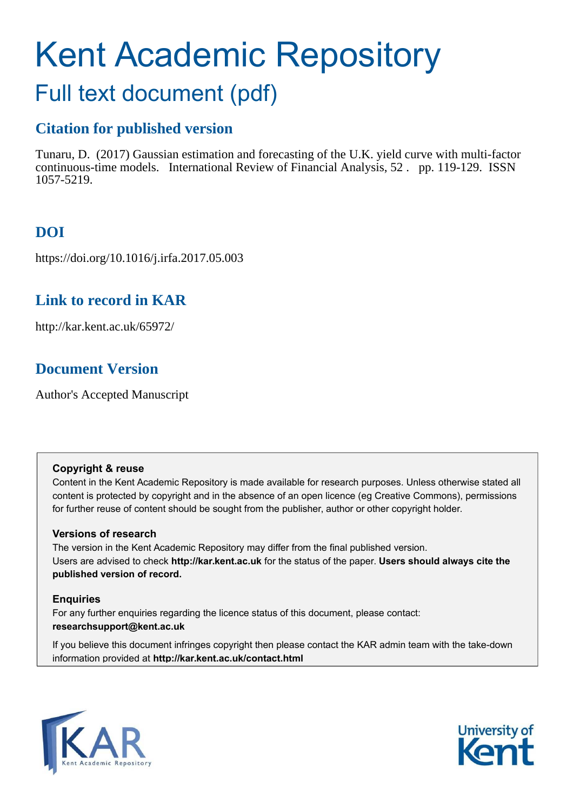# Kent Academic Repository Full text document (pdf)

# **Citation for published version**

Tunaru, D. (2017) Gaussian estimation and forecasting of the U.K. yield curve with multi-factor continuous-time models. International Review of Financial Analysis, 52 . pp. 119-129. ISSN 1057-5219.

# **DOI**

https://doi.org/10.1016/j.irfa.2017.05.003

# **Link to record in KAR**

http://kar.kent.ac.uk/65972/

# **Document Version**

Author's Accepted Manuscript

# **Copyright & reuse**

Content in the Kent Academic Repository is made available for research purposes. Unless otherwise stated all content is protected by copyright and in the absence of an open licence (eg Creative Commons), permissions for further reuse of content should be sought from the publisher, author or other copyright holder.

# **Versions of research**

The version in the Kent Academic Repository may differ from the final published version. Users are advised to check **http://kar.kent.ac.uk** for the status of the paper. **Users should always cite the published version of record.**

# **Enquiries**

For any further enquiries regarding the licence status of this document, please contact: **researchsupport@kent.ac.uk**

If you believe this document infringes copyright then please contact the KAR admin team with the take-down information provided at **http://kar.kent.ac.uk/contact.html**



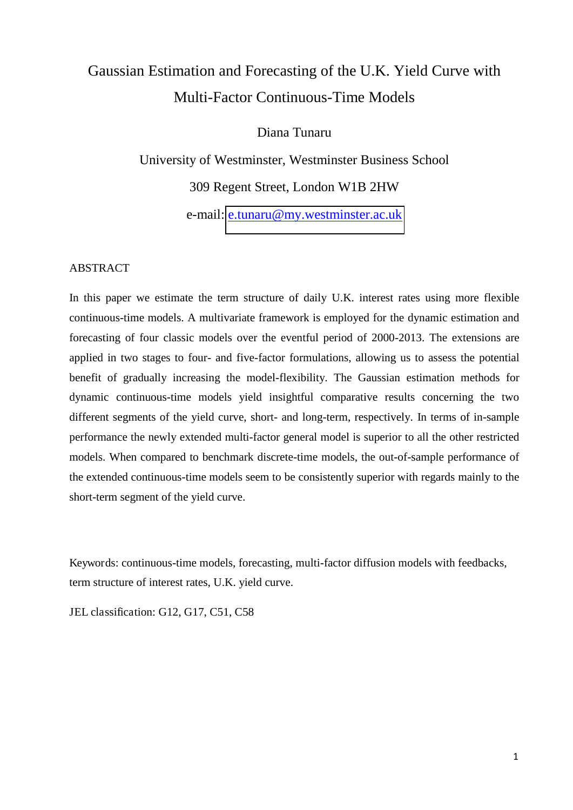# Gaussian Estimation and Forecasting of the U.K. Yield Curve with Multi-Factor Continuous-Time Models

# Diana Tunaru

University of Westminster, Westminster Business School 309 Regent Street, London W1B 2HW

e-mail: [e.tunaru@my.westminster.ac.uk](mailto:e.tunaru@my.westminster.ac.uk)

# ABSTRACT

In this paper we estimate the term structure of daily U.K. interest rates using more flexible continuous-time models. A multivariate framework is employed for the dynamic estimation and forecasting of four classic models over the eventful period of 2000-2013. The extensions are applied in two stages to four- and five-factor formulations, allowing us to assess the potential benefit of gradually increasing the model-flexibility. The Gaussian estimation methods for dynamic continuous-time models yield insightful comparative results concerning the two different segments of the yield curve, short- and long-term, respectively. In terms of in-sample performance the newly extended multi-factor general model is superior to all the other restricted models. When compared to benchmark discrete-time models, the out-of-sample performance of the extended continuous-time models seem to be consistently superior with regards mainly to the short-term segment of the yield curve.

Keywords: continuous-time models, forecasting, multi-factor diffusion models with feedbacks, term structure of interest rates, U.K. yield curve.

JEL classification: G12, G17, C51, C58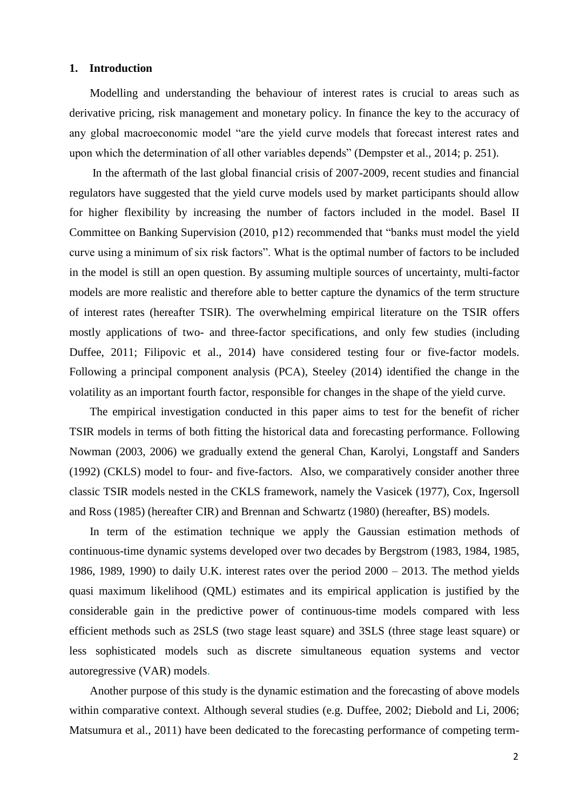### **1. Introduction**

Modelling and understanding the behaviour of interest rates is crucial to areas such as derivative pricing, risk management and monetary policy. In finance the key to the accuracy of any global macroeconomic model "are the yield curve models that forecast interest rates and upon which the determination of all other variables depends" (Dempster et al., 2014; p. 251).

 In the aftermath of the last global financial crisis of 2007-2009, recent studies and financial regulators have suggested that the yield curve models used by market participants should allow for higher flexibility by increasing the number of factors included in the model. Basel II Committee on Banking Supervision (2010, p12) recommended that "banks must model the yield curve using a minimum of six risk factors". What is the optimal number of factors to be included in the model is still an open question. By assuming multiple sources of uncertainty, multi-factor models are more realistic and therefore able to better capture the dynamics of the term structure of interest rates (hereafter TSIR). The overwhelming empirical literature on the TSIR offers mostly applications of two- and three-factor specifications, and only few studies (including Duffee, 2011; Filipovic et al., 2014) have considered testing four or five-factor models. Following a principal component analysis (PCA), Steeley (2014) identified the change in the volatility as an important fourth factor, responsible for changes in the shape of the yield curve.

The empirical investigation conducted in this paper aims to test for the benefit of richer TSIR models in terms of both fitting the historical data and forecasting performance. Following Nowman (2003, 2006) we gradually extend the general Chan, Karolyi, Longstaff and Sanders (1992) (CKLS) model to four- and five-factors. Also, we comparatively consider another three classic TSIR models nested in the CKLS framework, namely the Vasicek (1977), Cox, Ingersoll and Ross (1985) (hereafter CIR) and Brennan and Schwartz (1980) (hereafter, BS) models.

In term of the estimation technique we apply the Gaussian estimation methods of continuous-time dynamic systems developed over two decades by Bergstrom (1983, 1984, 1985, 1986, 1989, 1990) to daily U.K. interest rates over the period 2000 – 2013. The method yields quasi maximum likelihood (QML) estimates and its empirical application is justified by the considerable gain in the predictive power of continuous-time models compared with less efficient methods such as 2SLS (two stage least square) and 3SLS (three stage least square) or less sophisticated models such as discrete simultaneous equation systems and vector autoregressive (VAR) models.

Another purpose of this study is the dynamic estimation and the forecasting of above models within comparative context. Although several studies (e.g. Duffee, 2002; Diebold and Li, 2006; Matsumura et al., 2011) have been dedicated to the forecasting performance of competing term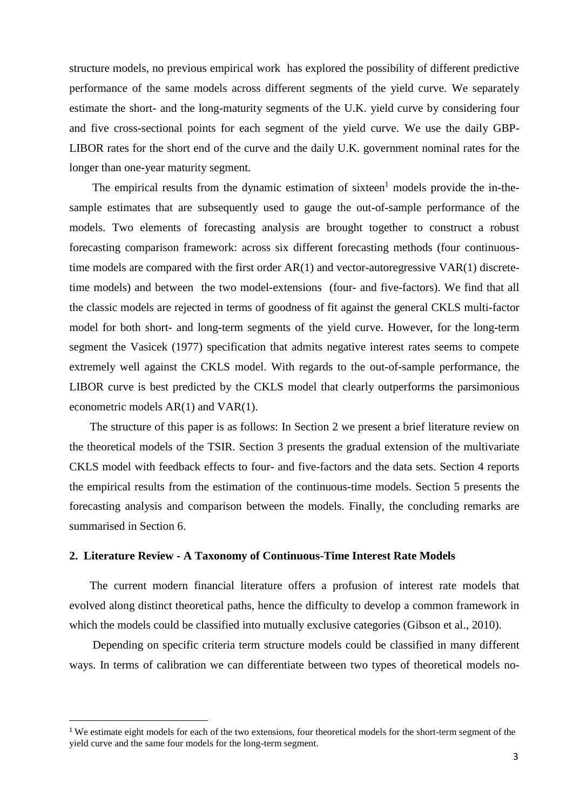structure models, no previous empirical work has explored the possibility of different predictive performance of the same models across different segments of the yield curve. We separately estimate the short- and the long-maturity segments of the U.K. yield curve by considering four and five cross-sectional points for each segment of the yield curve. We use the daily GBP-LIBOR rates for the short end of the curve and the daily U.K. government nominal rates for the longer than one-year maturity segment.

The empirical results from the dynamic estimation of sixteen<sup>1</sup> models provide the in-thesample estimates that are subsequently used to gauge the out-of-sample performance of the models. Two elements of forecasting analysis are brought together to construct a robust forecasting comparison framework: across six different forecasting methods (four continuoustime models are compared with the first order AR(1) and vector-autoregressive VAR(1) discretetime models) and between the two model-extensions (four- and five-factors). We find that all the classic models are rejected in terms of goodness of fit against the general CKLS multi-factor model for both short- and long-term segments of the yield curve. However, for the long-term segment the Vasicek (1977) specification that admits negative interest rates seems to compete extremely well against the CKLS model. With regards to the out-of-sample performance, the LIBOR curve is best predicted by the CKLS model that clearly outperforms the parsimonious econometric models AR(1) and VAR(1).

The structure of this paper is as follows: In Section 2 we present a brief literature review on the theoretical models of the TSIR. Section 3 presents the gradual extension of the multivariate CKLS model with feedback effects to four- and five-factors and the data sets. Section 4 reports the empirical results from the estimation of the continuous-time models. Section 5 presents the forecasting analysis and comparison between the models. Finally, the concluding remarks are summarised in Section 6.

#### **2. Literature Review - A Taxonomy of Continuous-Time Interest Rate Models**

<u>.</u>

The current modern financial literature offers a profusion of interest rate models that evolved along distinct theoretical paths, hence the difficulty to develop a common framework in which the models could be classified into mutually exclusive categories (Gibson et al., 2010).

 Depending on specific criteria term structure models could be classified in many different ways. In terms of calibration we can differentiate between two types of theoretical models no-

<sup>&</sup>lt;sup>1</sup> We estimate eight models for each of the two extensions, four theoretical models for the short-term segment of the yield curve and the same four models for the long-term segment.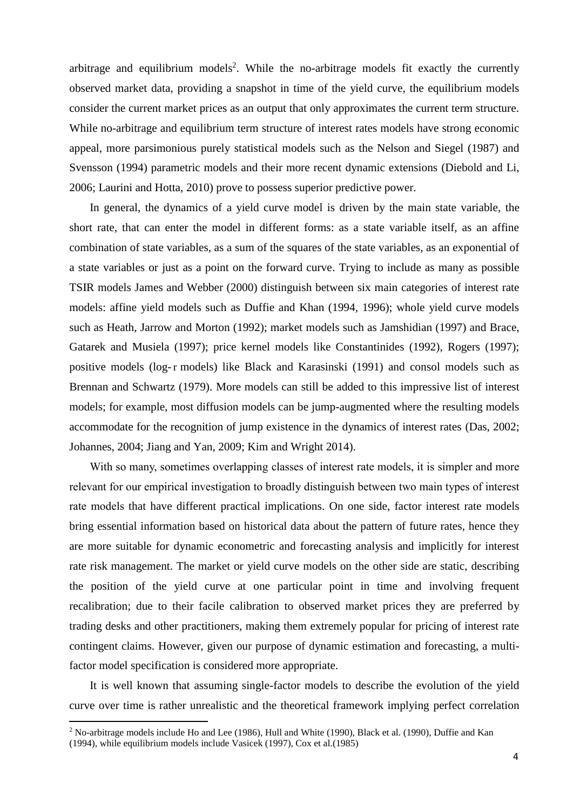arbitrage and equilibrium models<sup>2</sup>. While the no-arbitrage models fit exactly the currently observed market data, providing a snapshot in time of the yield curve, the equilibrium models consider the current market prices as an output that only approximates the current term structure. While no-arbitrage and equilibrium term structure of interest rates models have strong economic appeal, more parsimonious purely statistical models such as the Nelson and Siegel (1987) and Svensson (1994) parametric models and their more recent dynamic extensions (Diebold and Li, 2006; Laurini and Hotta, 2010) prove to possess superior predictive power.

In general, the dynamics of a yield curve model is driven by the main state variable, the short rate, that can enter the model in different forms: as a state variable itself, as an affine combination of state variables, as a sum of the squares of the state variables, as an exponential of a state variables or just as a point on the forward curve. Trying to include as many as possible TSIR models James and Webber (2000) distinguish between six main categories of interest rate models: affine yield models such as Duffie and Khan (1994, 1996); whole yield curve models such as Heath, Jarrow and Morton (1992); market models such as Jamshidian (1997) and Brace, Gatarek and Musiela (1997); price kernel models like Constantinides (1992), Rogers (1997); positive models (log-r models) like Black and Karasinski (1991) and consol models such as Brennan and Schwartz (1979). More models can still be added to this impressive list of interest models; for example, most diffusion models can be jump-augmented where the resulting models accommodate for the recognition of jump existence in the dynamics of interest rates (Das, 2002; Johannes, 2004; Jiang and Yan, 2009; Kim and Wright 2014).

With so many, sometimes overlapping classes of interest rate models, it is simpler and more relevant for our empirical investigation to broadly distinguish between two main types of interest rate models that have different practical implications. On one side, factor interest rate models bring essential information based on historical data about the pattern of future rates, hence they are more suitable for dynamic econometric and forecasting analysis and implicitly for interest rate risk management. The market or yield curve models on the other side are static, describing the position of the yield curve at one particular point in time and involving frequent recalibration; due to their facile calibration to observed market prices they are preferred by trading desks and other practitioners, making them extremely popular for pricing of interest rate contingent claims. However, given our purpose of dynamic estimation and forecasting, a multifactor model specification is considered more appropriate.

It is well known that assuming single-factor models to describe the evolution of the yield curve over time is rather unrealistic and the theoretical framework implying perfect correlation

.<br>-

 $2$  No-arbitrage models include Ho and Lee (1986), Hull and White (1990), Black et al. (1990), Duffie and Kan (1994), while equilibrium models include Vasicek (1997), Cox et al.(1985)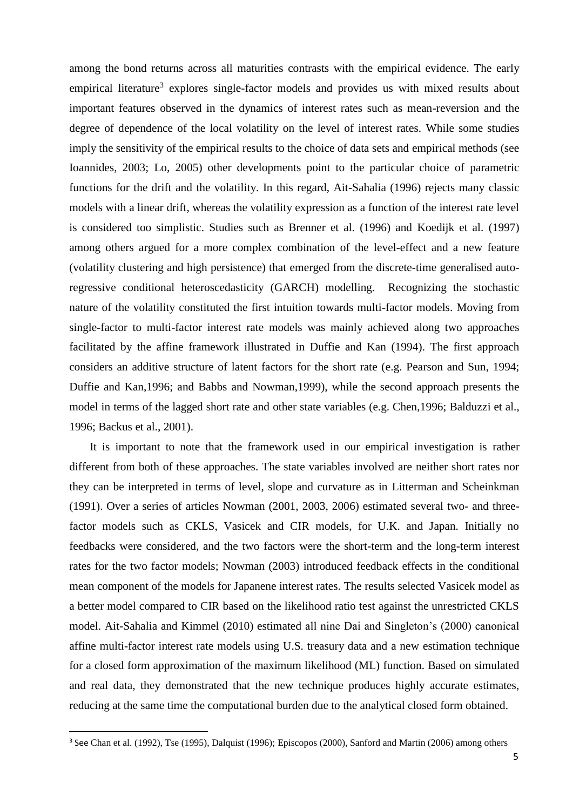among the bond returns across all maturities contrasts with the empirical evidence. The early empirical literature<sup>3</sup> explores single-factor models and provides us with mixed results about important features observed in the dynamics of interest rates such as mean-reversion and the degree of dependence of the local volatility on the level of interest rates. While some studies imply the sensitivity of the empirical results to the choice of data sets and empirical methods (see Ioannides, 2003; Lo, 2005) other developments point to the particular choice of parametric functions for the drift and the volatility. In this regard, Ait-Sahalia (1996) rejects many classic models with a linear drift, whereas the volatility expression as a function of the interest rate level is considered too simplistic. Studies such as Brenner et al. (1996) and Koedijk et al. (1997) among others argued for a more complex combination of the level-effect and a new feature (volatility clustering and high persistence) that emerged from the discrete-time generalised autoregressive conditional heteroscedasticity (GARCH) modelling. Recognizing the stochastic nature of the volatility constituted the first intuition towards multi-factor models. Moving from single-factor to multi-factor interest rate models was mainly achieved along two approaches facilitated by the affine framework illustrated in Duffie and Kan (1994). The first approach considers an additive structure of latent factors for the short rate (e.g. Pearson and Sun, 1994; Duffie and Kan,1996; and Babbs and Nowman,1999), while the second approach presents the model in terms of the lagged short rate and other state variables (e.g. Chen,1996; Balduzzi et al., 1996; Backus et al., 2001).

It is important to note that the framework used in our empirical investigation is rather different from both of these approaches. The state variables involved are neither short rates nor they can be interpreted in terms of level, slope and curvature as in Litterman and Scheinkman (1991). Over a series of articles Nowman (2001, 2003, 2006) estimated several two- and threefactor models such as CKLS, Vasicek and CIR models, for U.K. and Japan. Initially no feedbacks were considered, and the two factors were the short-term and the long-term interest rates for the two factor models; Nowman (2003) introduced feedback effects in the conditional mean component of the models for Japanene interest rates. The results selected Vasicek model as a better model compared to CIR based on the likelihood ratio test against the unrestricted CKLS model. Ait-Sahalia and Kimmel (2010) estimated all nine Dai and Singleton's (2000) canonical affine multi-factor interest rate models using U.S. treasury data and a new estimation technique for a closed form approximation of the maximum likelihood (ML) function. Based on simulated and real data, they demonstrated that the new technique produces highly accurate estimates, reducing at the same time the computational burden due to the analytical closed form obtained.

<u>.</u>

<sup>&</sup>lt;sup>3</sup> See Chan et al. (1992), Tse (1995), Dalquist (1996); Episcopos (2000), Sanford and Martin (2006) among others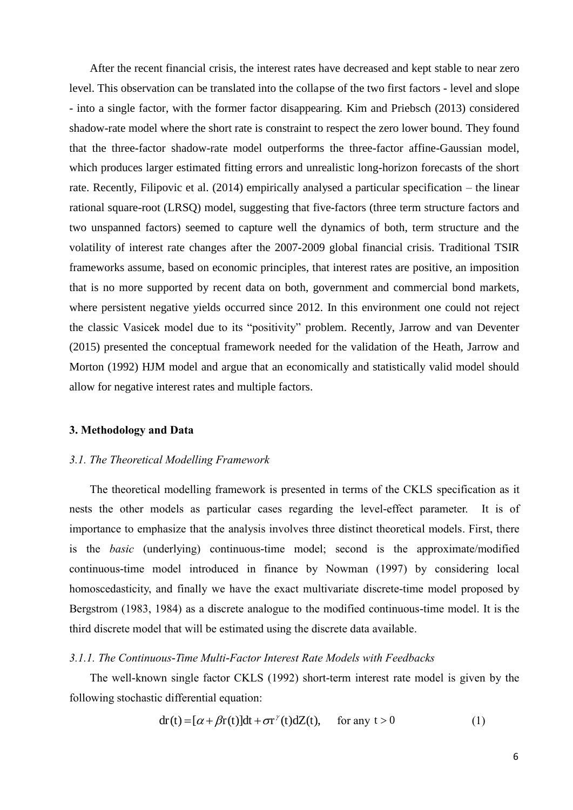After the recent financial crisis, the interest rates have decreased and kept stable to near zero level. This observation can be translated into the collapse of the two first factors - level and slope - into a single factor, with the former factor disappearing. Kim and Priebsch (2013) considered shadow-rate model where the short rate is constraint to respect the zero lower bound. They found that the three-factor shadow-rate model outperforms the three-factor affine-Gaussian model, which produces larger estimated fitting errors and unrealistic long-horizon forecasts of the short rate. Recently, Filipovic et al. (2014) empirically analysed a particular specification – the linear rational square-root (LRSQ) model, suggesting that five-factors (three term structure factors and two unspanned factors) seemed to capture well the dynamics of both, term structure and the volatility of interest rate changes after the 2007-2009 global financial crisis. Traditional TSIR frameworks assume, based on economic principles, that interest rates are positive, an imposition that is no more supported by recent data on both, government and commercial bond markets, where persistent negative yields occurred since 2012. In this environment one could not reject the classic Vasicek model due to its "positivity" problem. Recently, Jarrow and van Deventer (2015) presented the conceptual framework needed for the validation of the Heath, Jarrow and Morton (1992) HJM model and argue that an economically and statistically valid model should allow for negative interest rates and multiple factors.

#### **3. Methodology and Data**

#### *3.1. The Theoretical Modelling Framework*

The theoretical modelling framework is presented in terms of the CKLS specification as it nests the other models as particular cases regarding the level-effect parameter. It is of importance to emphasize that the analysis involves three distinct theoretical models. First, there is the *basic* (underlying) continuous-time model; second is the approximate/modified continuous-time model introduced in finance by Nowman (1997) by considering local homoscedasticity, and finally we have the exact multivariate discrete-time model proposed by Bergstrom (1983, 1984) as a discrete analogue to the modified continuous-time model. It is the third discrete model that will be estimated using the discrete data available.

# *3.1.1. The Continuous*-*Time Multi*-*Factor Interest Rate Models with Feedbacks*

The well-known single factor CKLS (1992) short-term interest rate model is given by the following stochastic differential equation:

$$
dr(t) = [\alpha + \beta r(t)]dt + \sigma r^{\gamma}(t)dZ(t), \quad \text{for any } t > 0
$$
 (1)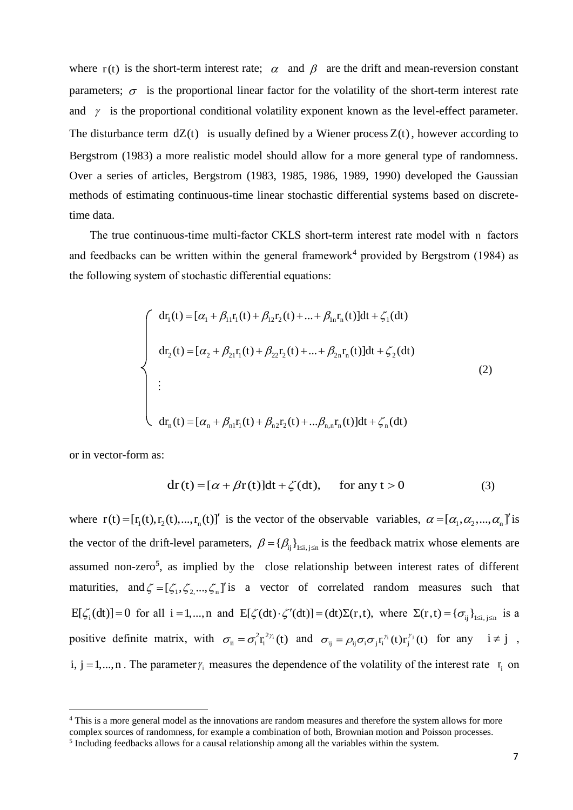where  $r(t)$  is the short-term interest rate;  $\alpha$  and  $\beta$  are the drift and mean-reversion constant parameters;  $\sigma$  is the proportional linear factor for the volatility of the short-term interest rate and  $\gamma$  is the proportional conditional volatility exponent known as the level-effect parameter. The disturbance term  $dZ(t)$  is usually defined by a Wiener process  $Z(t)$ , however according to Bergstrom (1983) a more realistic model should allow for a more general type of randomness. Over a series of articles, Bergstrom (1983, 1985, 1986, 1989, 1990) developed the Gaussian methods of estimating continuous-time linear stochastic differential systems based on discretetime data.

The true continuous-time multi-factor CKLS short-term interest rate model with n factors and feedbacks can be written within the general framework<sup>4</sup> provided by Bergstrom (1984) as the following system of stochastic differential equations:

$$
\begin{cases}\n\mathbf{dr}_{1}(t) = [\alpha_{1} + \beta_{11}r_{1}(t) + \beta_{12}r_{2}(t) + ... + \beta_{1n}r_{n}(t)]dt + \zeta_{1}(dt) \\
\mathbf{dr}_{2}(t) = [\alpha_{2} + \beta_{21}r_{1}(t) + \beta_{22}r_{2}(t) + ... + \beta_{2n}r_{n}(t)]dt + \zeta_{2}(dt) \\
\vdots \\
\mathbf{dr}_{n}(t) = [\alpha_{n} + \beta_{n1}r_{1}(t) + \beta_{n2}r_{2}(t) + ... + \beta_{nn}r_{n}(t)]dt + \zeta_{n}(dt)\n\end{cases}
$$
\n(2)

or in vector-form as:

-

$$
dr(t) = [\alpha + \beta r(t)]dt + \zeta(dt), \quad \text{for any } t > 0 \tag{3}
$$

where  $\mathbf{r}(t) = [\mathbf{r}_1(t), \mathbf{r}_2(t), ..., \mathbf{r}_n(t)]'$  is the vector of the observable variables,  $\alpha = [\alpha_1, \alpha_2, ..., \alpha_n]$  is the vector of the drift-level parameters,  $\beta = {\beta_{ii}}_{i,j \in i}$  is the feedback matrix whose elements are assumed non-zero<sup>5</sup>, as implied by the close relationship between interest rates of different maturities, and  $\zeta = [\zeta_1, \zeta_2, ..., \zeta_n]'$  is a vector of correlated random measures such that  $E[\zeta_i(dt)] = 0$  for all  $i = 1,...,n$  and  $E[\zeta(dt) \cdot \zeta'(dt)] = (dt)\Sigma(r,t)$ , where  $\Sigma(r,t) = {\{\sigma_{ij}\}}_{1 \le i,j \le n}$  is a positive definite matrix, with  $\sigma_{ii} = \sigma_i^2 r_i^{2\gamma_i}(t)$  and  $\sigma_{ij} = \rho_{ij} \sigma_i \sigma_j r_i^{\gamma_i}(t) r_j^{\gamma_j}(t)$  for any  $i \neq j$ , i,  $j = 1,..., n$ . The parameter  $\gamma_i$  measures the dependence of the volatility of the interest rate  $r_i$  on

<sup>&</sup>lt;sup>4</sup> This is a more general model as the innovations are random measures and therefore the system allows for more complex sources of randomness, for example a combination of both, Brownian motion and Poisson processes.

<sup>&</sup>lt;sup>5</sup> Including feedbacks allows for a causal relationship among all the variables within the system.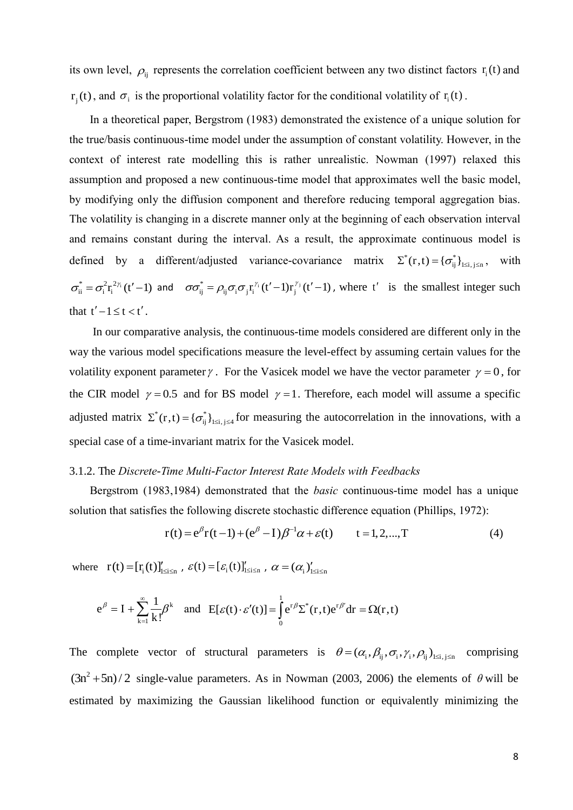its own level,  $\rho_{ij}$  represents the correlation coefficient between any two distinct factors  $r_i(t)$  and  $r_j(t)$ , and  $\sigma_i$  is the proportional volatility factor for the conditional volatility of  $r_i(t)$ .

In a theoretical paper, Bergstrom (1983) demonstrated the existence of a unique solution for the true/basis continuous-time model under the assumption of constant volatility. However, in the context of interest rate modelling this is rather unrealistic. Nowman (1997) relaxed this assumption and proposed a new continuous-time model that approximates well the basic model, by modifying only the diffusion component and therefore reducing temporal aggregation bias. The volatility is changing in a discrete manner only at the beginning of each observation interval and remains constant during the interval. As a result, the approximate continuous model is defined by a different/adjusted variance-covariance matrix  $\Sigma^*(r,t) = {\{\sigma_{ij}^*\}_{1 \le i,j \le n}}$ , with  $\sigma_{ii}^* = \sigma_i^2 r_i^{2\gamma_i} (t'-1)$  and  $\sigma \sigma_{ij}^* = \rho_{ij} \sigma_i \sigma_j r_i^{2\gamma_i} (t'-1) r_j^{2\gamma_i} (t'-1)$ , where t' is the smallest integer such that  $t' - 1 \le t < t'$ .

 In our comparative analysis, the continuous-time models considered are different only in the way the various model specifications measure the level-effect by assuming certain values for the volatility exponent parameter  $\gamma$ . For the Vasicek model we have the vector parameter  $\gamma = 0$ , for the CIR model  $\gamma = 0.5$  and for BS model  $\gamma = 1$ . Therefore, each model will assume a specific adjusted matrix  $\Sigma^*(r,t) = {\{\sigma_{ij}^*\}_{1\le i,j\le 4}}}$  for measuring the autocorrelation in the innovations, with a special case of a time-invariant matrix for the Vasicek model.

#### 3.1.2. The *Discrete*-*Time Multi*-*Factor Interest Rate Models with Feedbacks*

Bergstrom (1983,1984) demonstrated that the *basic* continuous-time model has a unique solution that satisfies the following discrete stochastic difference equation (Phillips, 1972):

$$
r(t) = e^{\beta} r(t-1) + (e^{\beta} - I)\beta^{-1} \alpha + \varepsilon(t) \qquad t = 1, 2, ..., T
$$
 (4)

where  $\mathbf{r}(t) = [\mathbf{r}_i(t)]'_{1 \le i \le n}$ ,  $\varepsilon(t) = [\varepsilon_i(t)]'_{1 \le i \le n}$ ,  $\alpha = (\alpha_i)'_{1 \le i \le n}$ 

$$
e^{\beta} = I + \sum_{k=1}^{\infty} \frac{1}{k!} \beta^k
$$
 and  $E[\varepsilon(t) \cdot \varepsilon'(t)] = \int_{0}^{1} e^{r\beta} \Sigma^*(r, t) e^{r\beta'} dr = \Omega(r, t)$ 

The complete vector of structural parameters is  $\theta = (\alpha_i, \beta_i, \sigma_i, \gamma_i, \rho_i)_{1 \le i,j \le n}$  comprising  $(3n^2 + 5n)/2$  single-value parameters. As in Nowman (2003, 2006) the elements of  $\theta$  will be estimated by maximizing the Gaussian likelihood function or equivalently minimizing the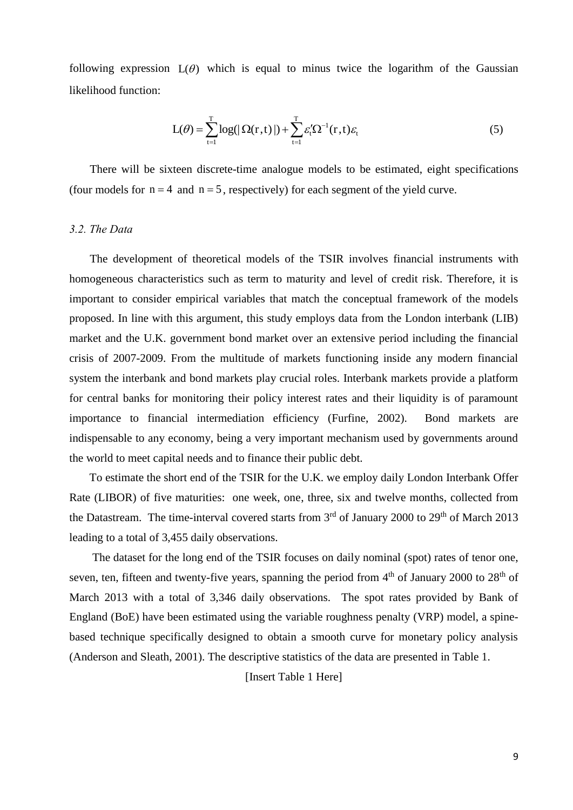following expression  $L(\theta)$  which is equal to minus twice the logarithm of the Gaussian likelihood function:

$$
L(\theta) = \sum_{t=1}^{T} \log(|\Omega(r, t)|) + \sum_{t=1}^{T} \varepsilon_t' \Omega^{-1}(r, t)\varepsilon_t
$$
\n(5)

There will be sixteen discrete-time analogue models to be estimated, eight specifications (four models for  $n = 4$  and  $n = 5$ , respectively) for each segment of the yield curve.

#### *3.2. The Data*

The development of theoretical models of the TSIR involves financial instruments with homogeneous characteristics such as term to maturity and level of credit risk. Therefore, it is important to consider empirical variables that match the conceptual framework of the models proposed. In line with this argument, this study employs data from the London interbank (LIB) market and the U.K. government bond market over an extensive period including the financial crisis of 2007-2009. From the multitude of markets functioning inside any modern financial system the interbank and bond markets play crucial roles. Interbank markets provide a platform for central banks for monitoring their policy interest rates and their liquidity is of paramount importance to financial intermediation efficiency (Furfine, 2002). Bond markets are indispensable to any economy, being a very important mechanism used by governments around the world to meet capital needs and to finance their public debt.

 To estimate the short end of the TSIR for the U.K. we employ daily London Interbank Offer Rate (LIBOR) of five maturities: one week, one, three, six and twelve months, collected from the Datastream. The time-interval covered starts from  $3<sup>rd</sup>$  of January 2000 to  $29<sup>th</sup>$  of March 2013 leading to a total of 3,455 daily observations.

 The dataset for the long end of the TSIR focuses on daily nominal (spot) rates of tenor one, seven, ten, fifteen and twenty-five years, spanning the period from  $4<sup>th</sup>$  of January 2000 to  $28<sup>th</sup>$  of March 2013 with a total of 3,346 daily observations. The spot rates provided by Bank of England (BoE) have been estimated using the variable roughness penalty (VRP) model, a spinebased technique specifically designed to obtain a smooth curve for monetary policy analysis (Anderson and Sleath, 2001). The descriptive statistics of the data are presented in Table 1.

[Insert Table 1 Here]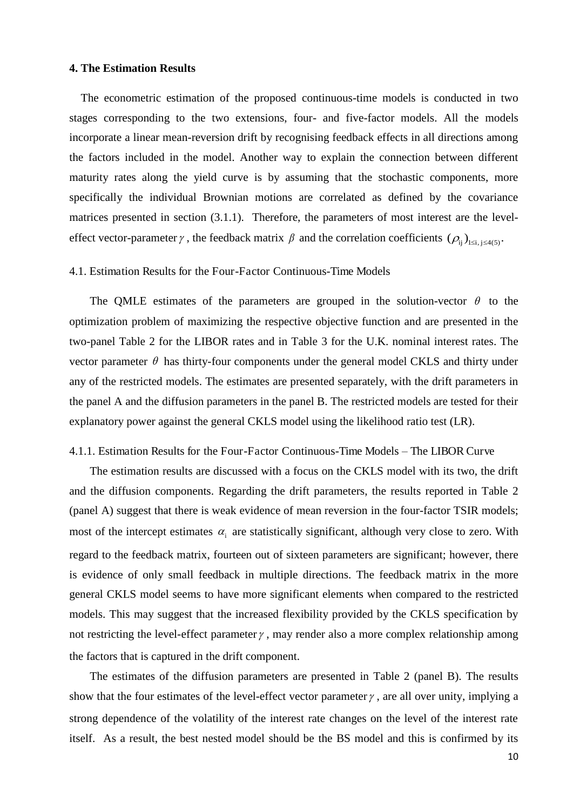#### **4. The Estimation Results**

The econometric estimation of the proposed continuous-time models is conducted in two stages corresponding to the two extensions, four- and five-factor models. All the models incorporate a linear mean-reversion drift by recognising feedback effects in all directions among the factors included in the model. Another way to explain the connection between different maturity rates along the yield curve is by assuming that the stochastic components, more specifically the individual Brownian motions are correlated as defined by the covariance matrices presented in section (3.1.1). Therefore, the parameters of most interest are the leveleffect vector-parameter  $\gamma$ , the feedback matrix  $\beta$  and the correlation coefficients  $(\rho_{ii})_{1 \le i \le d(5)}$ .

#### 4.1. Estimation Results for the Four-Factor Continuous-Time Models

The QMLE estimates of the parameters are grouped in the solution-vector  $\theta$  to the optimization problem of maximizing the respective objective function and are presented in the two-panel Table 2 for the LIBOR rates and in Table 3 for the U.K. nominal interest rates. The vector parameter  $\theta$  has thirty-four components under the general model CKLS and thirty under any of the restricted models. The estimates are presented separately, with the drift parameters in the panel A and the diffusion parameters in the panel B. The restricted models are tested for their explanatory power against the general CKLS model using the likelihood ratio test (LR).

#### 4.1.1. Estimation Results for the Four-Factor Continuous-Time Models *–* The LIBOR Curve

The estimation results are discussed with a focus on the CKLS model with its two, the drift and the diffusion components. Regarding the drift parameters, the results reported in Table 2 (panel A) suggest that there is weak evidence of mean reversion in the four-factor TSIR models; most of the intercept estimates  $\alpha_i$  are statistically significant, although very close to zero. With regard to the feedback matrix, fourteen out of sixteen parameters are significant; however, there is evidence of only small feedback in multiple directions. The feedback matrix in the more general CKLS model seems to have more significant elements when compared to the restricted models. This may suggest that the increased flexibility provided by the CKLS specification by not restricting the level-effect parameter  $\gamma$ , may render also a more complex relationship among the factors that is captured in the drift component.

The estimates of the diffusion parameters are presented in Table 2 (panel B). The results show that the four estimates of the level-effect vector parameter  $\gamma$ , are all over unity, implying a strong dependence of the volatility of the interest rate changes on the level of the interest rate itself. As a result, the best nested model should be the BS model and this is confirmed by its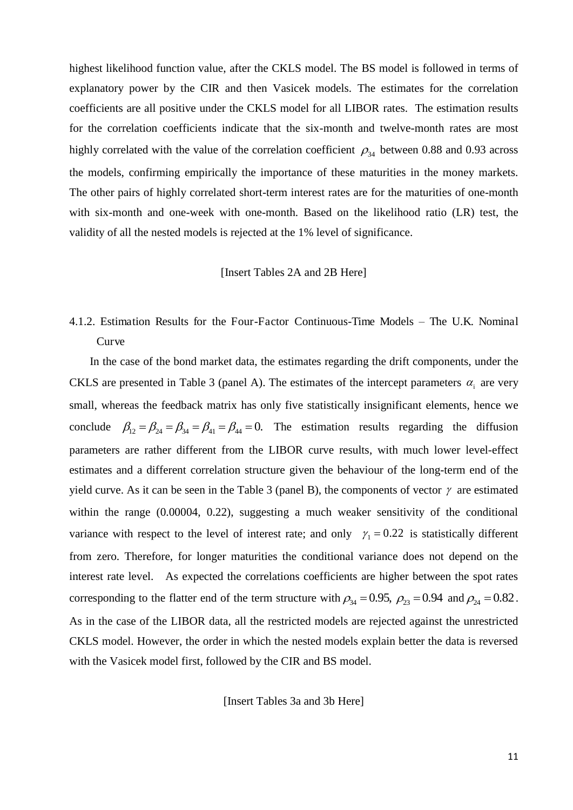highest likelihood function value, after the CKLS model. The BS model is followed in terms of explanatory power by the CIR and then Vasicek models. The estimates for the correlation coefficients are all positive under the CKLS model for all LIBOR rates. The estimation results for the correlation coefficients indicate that the six-month and twelve-month rates are most highly correlated with the value of the correlation coefficient  $\rho_{34}$  between 0.88 and 0.93 across the models, confirming empirically the importance of these maturities in the money markets. The other pairs of highly correlated short-term interest rates are for the maturities of one-month with six-month and one-week with one-month. Based on the likelihood ratio (LR) test, the validity of all the nested models is rejected at the 1% level of significance.

## [Insert Tables 2A and 2B Here]

# 4.1.2. Estimation Results for the Four-Factor Continuous-Time Models *–* The U.K. Nominal Curve

In the case of the bond market data, the estimates regarding the drift components, under the CKLS are presented in Table 3 (panel A). The estimates of the intercept parameters  $\alpha_i$  are very small, whereas the feedback matrix has only five statistically insignificant elements, hence we conclude  $\beta_{12} = \beta_{24} = \beta_{34} = \beta_{41} = \beta_{44} = 0$ . The estimation results regarding the diffusion parameters are rather different from the LIBOR curve results, with much lower level-effect estimates and a different correlation structure given the behaviour of the long-term end of the yield curve. As it can be seen in the Table 3 (panel B), the components of vector  $\gamma$  are estimated within the range (0.00004, 0.22), suggesting a much weaker sensitivity of the conditional variance with respect to the level of interest rate; and only  $\gamma_1 = 0.22$  is statistically different from zero. Therefore, for longer maturities the conditional variance does not depend on the interest rate level. As expected the correlations coefficients are higher between the spot rates corresponding to the flatter end of the term structure with  $\rho_{34} = 0.95$ ,  $\rho_{23} = 0.94$  and  $\rho_{24} = 0.82$ . As in the case of the LIBOR data, all the restricted models are rejected against the unrestricted CKLS model. However, the order in which the nested models explain better the data is reversed with the Vasicek model first, followed by the CIR and BS model.

[Insert Tables 3a and 3b Here]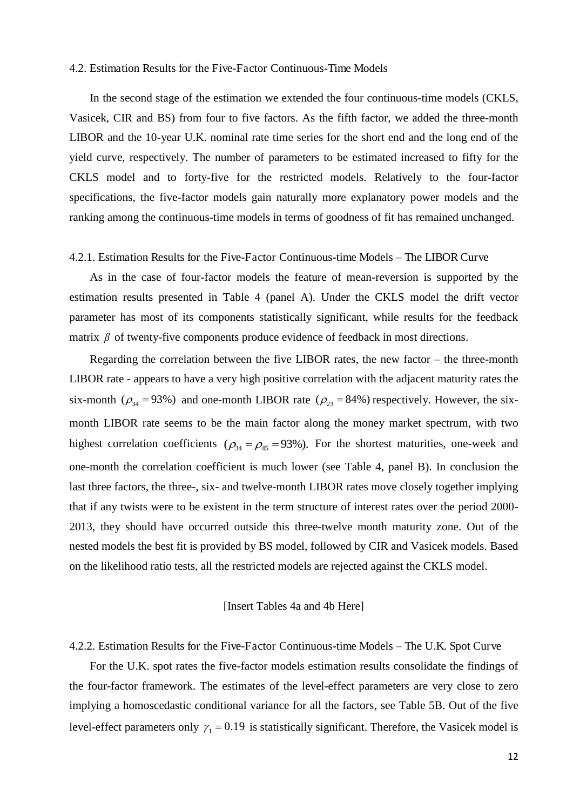#### 4.2. Estimation Results for the Five-Factor Continuous-Time Models

In the second stage of the estimation we extended the four continuous-time models (CKLS, Vasicek, CIR and BS) from four to five factors. As the fifth factor, we added the three-month LIBOR and the 10-year U.K. nominal rate time series for the short end and the long end of the yield curve, respectively. The number of parameters to be estimated increased to fifty for the CKLS model and to forty-five for the restricted models. Relatively to the four-factor specifications, the five-factor models gain naturally more explanatory power models and the ranking among the continuous-time models in terms of goodness of fit has remained unchanged.

#### 4.2.1. Estimation Results for the Five-Factor Continuous-time Models *–* The LIBOR Curve

As in the case of four-factor models the feature of mean-reversion is supported by the estimation results presented in Table 4 (panel A). Under the CKLS model the drift vector parameter has most of its components statistically significant, while results for the feedback matrix  $\beta$  of twenty-five components produce evidence of feedback in most directions.

Regarding the correlation between the five LIBOR rates, the new factor – the three-month LIBOR rate - appears to have a very high positive correlation with the adjacent maturity rates the six-month ( $\rho_{34} = 93\%$ ) and one-month LIBOR rate ( $\rho_{23} = 84\%$ ) respectively. However, the sixmonth LIBOR rate seems to be the main factor along the money market spectrum, with two highest correlation coefficients  $(\rho_{34} = \rho_{45} = 93\%)$ . For the shortest maturities, one-week and one-month the correlation coefficient is much lower (see Table 4, panel B). In conclusion the last three factors, the three-, six- and twelve-month LIBOR rates move closely together implying that if any twists were to be existent in the term structure of interest rates over the period 2000- 2013, they should have occurred outside this three-twelve month maturity zone. Out of the nested models the best fit is provided by BS model, followed by CIR and Vasicek models. Based on the likelihood ratio tests, all the restricted models are rejected against the CKLS model.

#### [Insert Tables 4a and 4b Here]

4.2.2. Estimation Results for the Five-Factor Continuous-time Models *–* The U.K. Spot Curve

For the U.K. spot rates the five-factor models estimation results consolidate the findings of the four-factor framework. The estimates of the level-effect parameters are very close to zero implying a homoscedastic conditional variance for all the factors, see Table 5B. Out of the five level-effect parameters only  $\gamma_1 = 0.19$  is statistically significant. Therefore, the Vasicek model is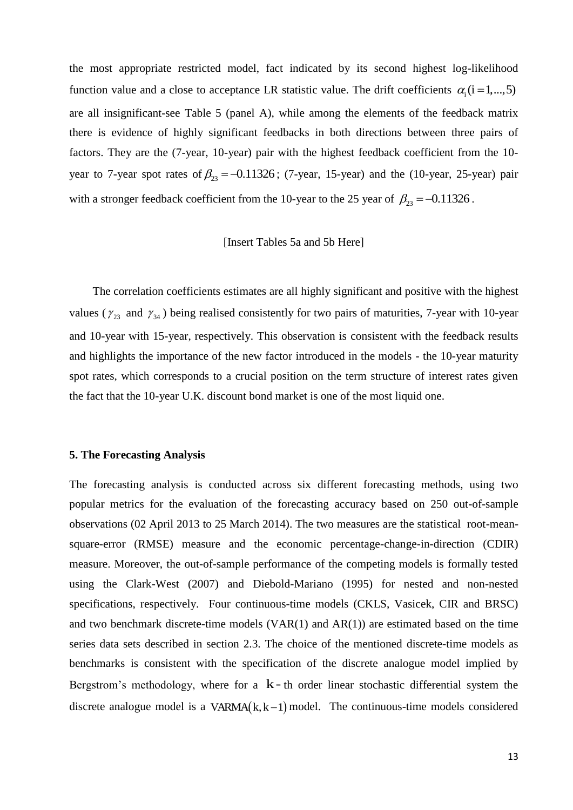the most appropriate restricted model, fact indicated by its second highest log-likelihood function value and a close to acceptance LR statistic value. The drift coefficients  $\alpha_i$  ( $i = 1,...,5$ ) are all insignificant-see Table 5 (panel A), while among the elements of the feedback matrix there is evidence of highly significant feedbacks in both directions between three pairs of factors. They are the (7-year, 10-year) pair with the highest feedback coefficient from the 10 year to 7-year spot rates of  $\beta_{23} = -0.11326$ ; (7-year, 15-year) and the (10-year, 25-year) pair with a stronger feedback coefficient from the 10-year to the 25 year of  $\beta_{23} = -0.11326$ .

#### [Insert Tables 5a and 5b Here]

 The correlation coefficients estimates are all highly significant and positive with the highest values ( $\gamma_{23}$  and  $\gamma_{34}$ ) being realised consistently for two pairs of maturities, 7-year with 10-year and 10-year with 15-year, respectively. This observation is consistent with the feedback results and highlights the importance of the new factor introduced in the models - the 10-year maturity spot rates, which corresponds to a crucial position on the term structure of interest rates given the fact that the 10-year U.K. discount bond market is one of the most liquid one.

#### **5. The Forecasting Analysis**

The forecasting analysis is conducted across six different forecasting methods, using two popular metrics for the evaluation of the forecasting accuracy based on 250 out-of-sample observations (02 April 2013 to 25 March 2014). The two measures are the statistical root-meansquare-error (RMSE) measure and the economic percentage-change-in-direction (CDIR) measure. Moreover, the out-of-sample performance of the competing models is formally tested using the Clark-West (2007) and Diebold-Mariano (1995) for nested and non-nested specifications, respectively. Four continuous-time models (CKLS, Vasicek, CIR and BRSC) and two benchmark discrete-time models  $(VAR(1)$  and  $AR(1))$  are estimated based on the time series data sets described in section 2.3. The choice of the mentioned discrete-time models as benchmarks is consistent with the specification of the discrete analogue model implied by Bergstrom's methodology, where for a  $k - th$  order linear stochastic differential system the discrete analogue model is a VARMA $(k, k - 1)$  model. The continuous-time models considered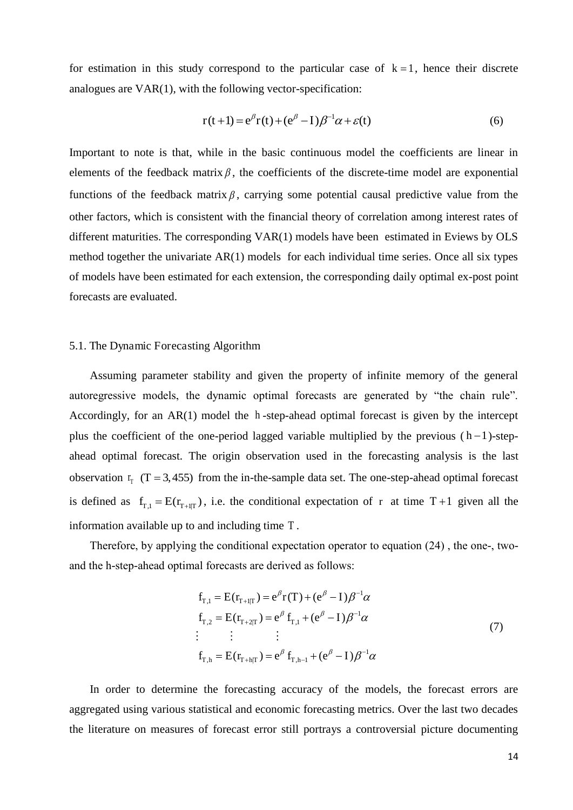for estimation in this study correspond to the particular case of  $k = 1$ , hence their discrete analogues are VAR(1), with the following vector-specification:

$$
r(t+1) = e^{\beta}r(t) + (e^{\beta} - I)\beta^{-1}\alpha + \varepsilon(t)
$$
\n(6)

Important to note is that, while in the basic continuous model the coefficients are linear in elements of the feedback matrix  $\beta$ , the coefficients of the discrete-time model are exponential functions of the feedback matrix  $\beta$ , carrying some potential causal predictive value from the other factors, which is consistent with the financial theory of correlation among interest rates of different maturities. The corresponding VAR(1) models have been estimated in Eviews by OLS method together the univariate AR(1) models for each individual time series. Once all six types of models have been estimated for each extension, the corresponding daily optimal ex-post point forecasts are evaluated.

#### 5.1. The Dynamic Forecasting Algorithm

Assuming parameter stability and given the property of infinite memory of the general autoregressive models, the dynamic optimal forecasts are generated by "the chain rule". Accordingly, for an AR(1) model the h -step-ahead optimal forecast is given by the intercept plus the coefficient of the one-period lagged variable multiplied by the previous  $(h-1)$ -stepahead optimal forecast. The origin observation used in the forecasting analysis is the last observation  $r_{T}$  (T = 3,455) from the in-the-sample data set. The one-step-ahead optimal forecast is defined as  $f_{T,1} = E(r_{T+1|T})$ , i.e. the conditional expectation of r at time T +1 given all the information available up to and including time T .

Therefore, by applying the conditional expectation operator to equation (24) , the one-, twoand the h-step-ahead optimal forecasts are derived as follows:

$$
f_{T,1} = E(r_{T+1|T}) = e^{\beta} r(T) + (e^{\beta} - I)\beta^{-1} \alpha
$$
  
\n
$$
f_{T,2} = E(r_{T+2|T}) = e^{\beta} f_{T,1} + (e^{\beta} - I)\beta^{-1} \alpha
$$
  
\n
$$
\vdots \qquad \vdots \qquad \vdots
$$
  
\n
$$
f_{T,h} = E(r_{T+h|T}) = e^{\beta} f_{T,h-1} + (e^{\beta} - I)\beta^{-1} \alpha
$$
\n(7)

In order to determine the forecasting accuracy of the models, the forecast errors are aggregated using various statistical and economic forecasting metrics. Over the last two decades the literature on measures of forecast error still portrays a controversial picture documenting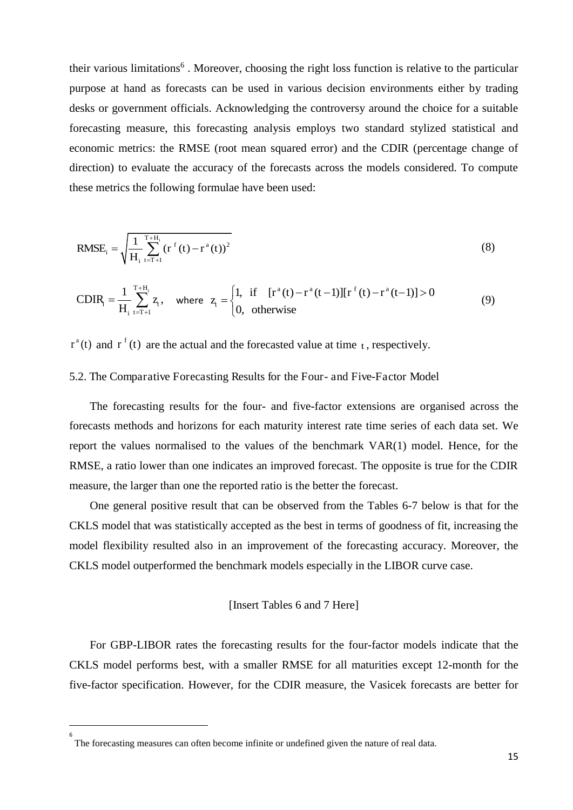their various limitations<sup>6</sup>. Moreover, choosing the right loss function is relative to the particular purpose at hand as forecasts can be used in various decision environments either by trading desks or government officials. Acknowledging the controversy around the choice for a suitable forecasting measure, this forecasting analysis employs two standard stylized statistical and economic metrics: the RMSE (root mean squared error) and the CDIR (percentage change of direction) to evaluate the accuracy of the forecasts across the models considered. To compute these metrics the following formulae have been used:

RMSE<sub>i</sub> = 
$$
\sqrt{\frac{1}{H_i} \sum_{t=T+1}^{T+H_i} (r^f(t) - r^a(t))^2}
$$
 (8)

CDIR<sub>i</sub> = 
$$
\frac{1}{H_i} \sum_{t=T+1}^{T+H_i} z_t
$$
, where  $z_t =\begin{cases} 1, & \text{if } [r^a(t) - r^a(t-1)][r^f(t) - r^a(t-1)] > 0 \\ 0, & \text{otherwise} \end{cases}$  (9)

 $r^a(t)$  and  $r^f(t)$  are the actual and the forecasted value at time t, respectively.

## 5.2. The Comparative Forecasting Results for the Four- and Five-Factor Model

The forecasting results for the four- and five-factor extensions are organised across the forecasts methods and horizons for each maturity interest rate time series of each data set. We report the values normalised to the values of the benchmark VAR(1) model. Hence, for the RMSE, a ratio lower than one indicates an improved forecast. The opposite is true for the CDIR measure, the larger than one the reported ratio is the better the forecast.

One general positive result that can be observed from the Tables 6-7 below is that for the CKLS model that was statistically accepted as the best in terms of goodness of fit, increasing the model flexibility resulted also in an improvement of the forecasting accuracy. Moreover, the CKLS model outperformed the benchmark models especially in the LIBOR curve case.

#### [Insert Tables 6 and 7 Here]

For GBP-LIBOR rates the forecasting results for the four-factor models indicate that the CKLS model performs best, with a smaller RMSE for all maturities except 12-month for the five-factor specification. However, for the CDIR measure, the Vasicek forecasts are better for

-6

The forecasting measures can often become infinite or undefined given the nature of real data.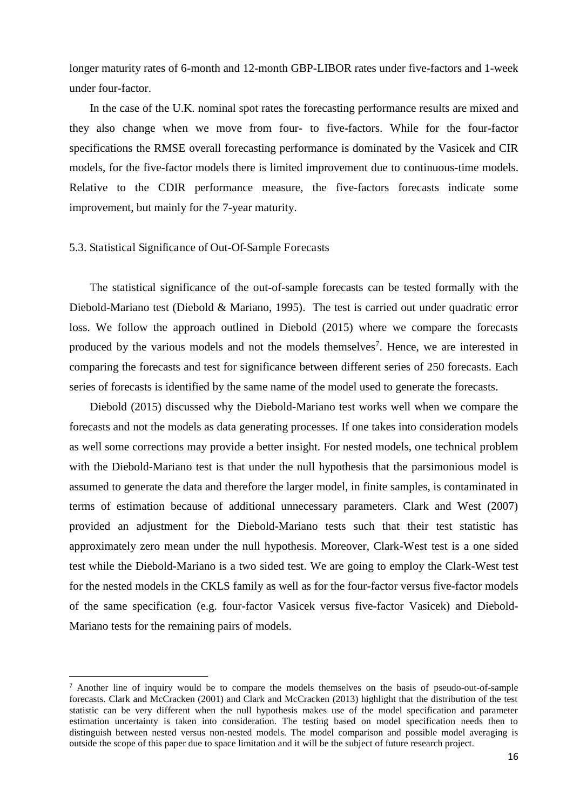longer maturity rates of 6-month and 12-month GBP-LIBOR rates under five-factors and 1-week under four-factor.

In the case of the U.K. nominal spot rates the forecasting performance results are mixed and they also change when we move from four- to five-factors. While for the four-factor specifications the RMSE overall forecasting performance is dominated by the Vasicek and CIR models, for the five-factor models there is limited improvement due to continuous-time models. Relative to the CDIR performance measure, the five-factors forecasts indicate some improvement, but mainly for the 7-year maturity.

#### 5.3. Statistical Significance of Out-Of-Sample Forecasts

-

The statistical significance of the out-of-sample forecasts can be tested formally with the Diebold-Mariano test (Diebold & Mariano, 1995). The test is carried out under quadratic error loss. We follow the approach outlined in Diebold (2015) where we compare the forecasts produced by the various models and not the models themselves<sup>7</sup>. Hence, we are interested in comparing the forecasts and test for significance between different series of 250 forecasts. Each series of forecasts is identified by the same name of the model used to generate the forecasts.

Diebold (2015) discussed why the Diebold-Mariano test works well when we compare the forecasts and not the models as data generating processes. If one takes into consideration models as well some corrections may provide a better insight. For nested models, one technical problem with the Diebold-Mariano test is that under the null hypothesis that the parsimonious model is assumed to generate the data and therefore the larger model, in finite samples, is contaminated in terms of estimation because of additional unnecessary parameters. Clark and West (2007) provided an adjustment for the Diebold-Mariano tests such that their test statistic has approximately zero mean under the null hypothesis. Moreover, Clark-West test is a one sided test while the Diebold-Mariano is a two sided test. We are going to employ the Clark-West test for the nested models in the CKLS family as well as for the four-factor versus five-factor models of the same specification (e.g. four-factor Vasicek versus five-factor Vasicek) and Diebold-Mariano tests for the remaining pairs of models.

<sup>7</sup> Another line of inquiry would be to compare the models themselves on the basis of pseudo-out-of-sample forecasts. Clark and McCracken (2001) and Clark and McCracken (2013) highlight that the distribution of the test statistic can be very different when the null hypothesis makes use of the model specification and parameter estimation uncertainty is taken into consideration. The testing based on model specification needs then to distinguish between nested versus non-nested models. The model comparison and possible model averaging is outside the scope of this paper due to space limitation and it will be the subject of future research project.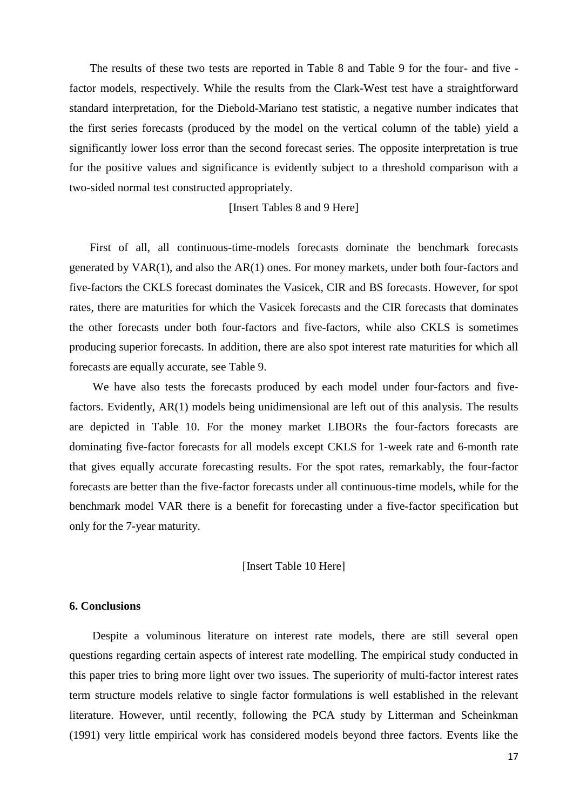The results of these two tests are reported in Table 8 and Table 9 for the four- and five factor models, respectively. While the results from the Clark-West test have a straightforward standard interpretation, for the Diebold-Mariano test statistic, a negative number indicates that the first series forecasts (produced by the model on the vertical column of the table) yield a significantly lower loss error than the second forecast series. The opposite interpretation is true for the positive values and significance is evidently subject to a threshold comparison with a two-sided normal test constructed appropriately.

[Insert Tables 8 and 9 Here]

First of all, all continuous-time-models forecasts dominate the benchmark forecasts generated by VAR(1), and also the AR(1) ones. For money markets, under both four-factors and five-factors the CKLS forecast dominates the Vasicek, CIR and BS forecasts. However, for spot rates, there are maturities for which the Vasicek forecasts and the CIR forecasts that dominates the other forecasts under both four-factors and five-factors, while also CKLS is sometimes producing superior forecasts. In addition, there are also spot interest rate maturities for which all forecasts are equally accurate, see Table 9.

 We have also tests the forecasts produced by each model under four-factors and fivefactors. Evidently, AR(1) models being unidimensional are left out of this analysis. The results are depicted in Table 10. For the money market LIBORs the four-factors forecasts are dominating five-factor forecasts for all models except CKLS for 1-week rate and 6-month rate that gives equally accurate forecasting results. For the spot rates, remarkably, the four-factor forecasts are better than the five-factor forecasts under all continuous-time models, while for the benchmark model VAR there is a benefit for forecasting under a five-factor specification but only for the 7-year maturity.

[Insert Table 10 Here]

### **6. Conclusions**

 Despite a voluminous literature on interest rate models, there are still several open questions regarding certain aspects of interest rate modelling. The empirical study conducted in this paper tries to bring more light over two issues. The superiority of multi-factor interest rates term structure models relative to single factor formulations is well established in the relevant literature. However, until recently, following the PCA study by Litterman and Scheinkman (1991) very little empirical work has considered models beyond three factors. Events like the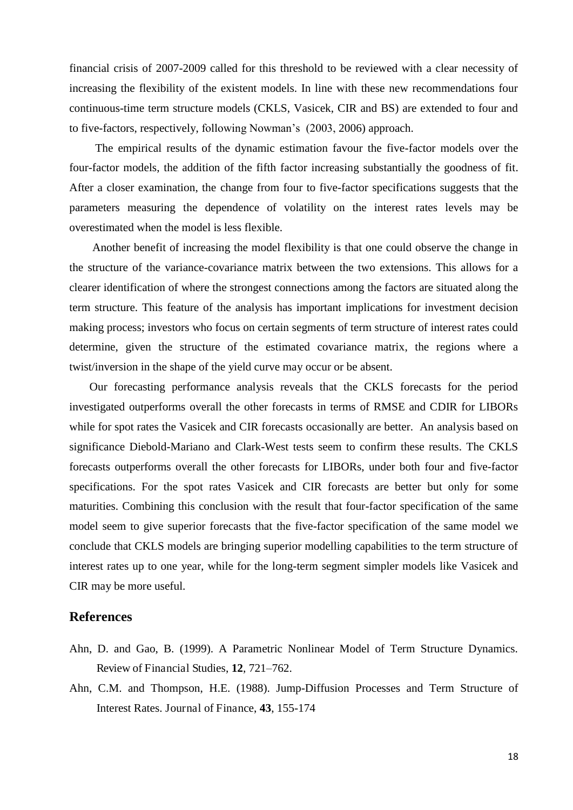financial crisis of 2007-2009 called for this threshold to be reviewed with a clear necessity of increasing the flexibility of the existent models. In line with these new recommendations four continuous-time term structure models (CKLS, Vasicek, CIR and BS) are extended to four and to five-factors, respectively, following Nowman's (2003, 2006) approach.

 The empirical results of the dynamic estimation favour the five-factor models over the four-factor models, the addition of the fifth factor increasing substantially the goodness of fit. After a closer examination, the change from four to five-factor specifications suggests that the parameters measuring the dependence of volatility on the interest rates levels may be overestimated when the model is less flexible.

 Another benefit of increasing the model flexibility is that one could observe the change in the structure of the variance-covariance matrix between the two extensions. This allows for a clearer identification of where the strongest connections among the factors are situated along the term structure. This feature of the analysis has important implications for investment decision making process; investors who focus on certain segments of term structure of interest rates could determine, given the structure of the estimated covariance matrix, the regions where a twist/inversion in the shape of the yield curve may occur or be absent.

 Our forecasting performance analysis reveals that the CKLS forecasts for the period investigated outperforms overall the other forecasts in terms of RMSE and CDIR for LIBORs while for spot rates the Vasicek and CIR forecasts occasionally are better. An analysis based on significance Diebold-Mariano and Clark-West tests seem to confirm these results. The CKLS forecasts outperforms overall the other forecasts for LIBORs, under both four and five-factor specifications. For the spot rates Vasicek and CIR forecasts are better but only for some maturities. Combining this conclusion with the result that four-factor specification of the same model seem to give superior forecasts that the five-factor specification of the same model we conclude that CKLS models are bringing superior modelling capabilities to the term structure of interest rates up to one year, while for the long-term segment simpler models like Vasicek and CIR may be more useful.

# **References**

- Ahn, D. and Gao, B. (1999). A Parametric Nonlinear Model of Term Structure Dynamics. Review of Financial Studies, **12**, 721–762.
- Ahn, C.M. and Thompson, H.E. (1988). Jump-Diffusion Processes and Term Structure of Interest Rates. Journal of Finance, **43**, 155-174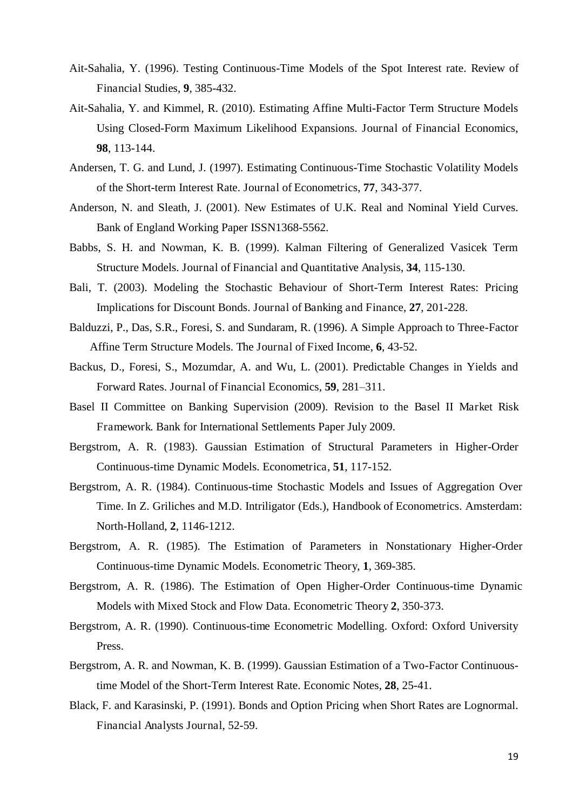- Ait-Sahalia, Y. (1996). Testing Continuous-Time Models of the Spot Interest rate. Review of Financial Studies, **9**, 385-432.
- Ait-Sahalia, Y. and Kimmel, R. (2010). Estimating Affine Multi-Factor Term Structure Models Using Closed-Form Maximum Likelihood Expansions. Journal of Financial Economics, **98**, 113-144.
- Andersen, T. G. and Lund, J. (1997). Estimating Continuous-Time Stochastic Volatility Models of the Short-term Interest Rate. Journal of Econometrics, **77**, 343-377.
- Anderson, N. and Sleath, J. (2001). New Estimates of U.K. Real and Nominal Yield Curves. Bank of England Working Paper ISSN1368-5562.
- Babbs, S. H. and Nowman, K. B. (1999). Kalman Filtering of Generalized Vasicek Term Structure Models. Journal of Financial and Quantitative Analysis, **34**, 115-130.
- Bali, T. (2003). Modeling the Stochastic Behaviour of Short-Term Interest Rates: Pricing Implications for Discount Bonds. Journal of Banking and Finance, **27**, 201-228.
- Balduzzi, P., Das, S.R., Foresi, S. and Sundaram, R. (1996). A Simple Approach to Three-Factor Affine Term Structure Models. The Journal of Fixed Income, **6**, 43-52.
- Backus, D., Foresi, S., Mozumdar, A. and Wu, L. (2001). Predictable Changes in Yields and Forward Rates. Journal of Financial Economics, **59**, 281–311.
- Basel II Committee on Banking Supervision (2009). Revision to the Basel II Market Risk Framework. Bank for International Settlements Paper July 2009.
- Bergstrom, A. R. (1983). Gaussian Estimation of Structural Parameters in Higher-Order Continuous-time Dynamic Models. Econometrica, **51**, 117-152.
- Bergstrom, A. R. (1984). Continuous-time Stochastic Models and Issues of Aggregation Over Time. In Z. Griliches and M.D. Intriligator (Eds.), Handbook of Econometrics. Amsterdam: North-Holland, **2**, 1146-1212.
- Bergstrom, A. R. (1985). The Estimation of Parameters in Nonstationary Higher-Order Continuous-time Dynamic Models. Econometric Theory, **1**, 369-385.
- Bergstrom, A. R. (1986). The Estimation of Open Higher-Order Continuous-time Dynamic Models with Mixed Stock and Flow Data. Econometric Theory **2**, 350-373.
- Bergstrom, A. R. (1990). Continuous-time Econometric Modelling. Oxford: Oxford University Press.
- Bergstrom, A. R. and Nowman, K. B. (1999). Gaussian Estimation of a Two-Factor Continuoustime Model of the Short-Term Interest Rate. Economic Notes, **28**, 25-41.
- Black, F. and Karasinski, P. (1991). Bonds and Option Pricing when Short Rates are Lognormal. Financial Analysts Journal, 52-59.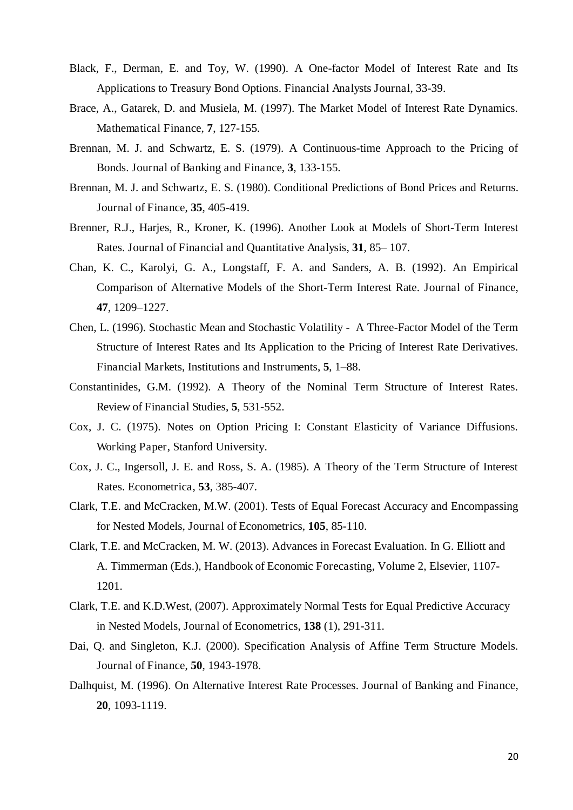- Black, F., Derman, E. and Toy, W. (1990). A One-factor Model of Interest Rate and Its Applications to Treasury Bond Options. Financial Analysts Journal, 33-39.
- Brace, A., Gatarek, D. and Musiela, M. (1997). The Market Model of Interest Rate Dynamics. Mathematical Finance, **7**, 127-155.
- Brennan, M. J. and Schwartz, E. S. (1979). A Continuous-time Approach to the Pricing of Bonds. Journal of Banking and Finance, **3**, 133-155.
- Brennan, M. J. and Schwartz, E. S. (1980). Conditional Predictions of Bond Prices and Returns. Journal of Finance, **35**, 405-419.
- Brenner, R.J., Harjes, R., Kroner, K. (1996). Another Look at Models of Short-Term Interest Rates. Journal of Financial and Quantitative Analysis, **31**, 85– 107.
- Chan, K. C., Karolyi, G. A., Longstaff, F. A. and Sanders, A. B. (1992). An Empirical Comparison of Alternative Models of the Short-Term Interest Rate. Journal of Finance, **47**, 1209–1227.
- Chen, L. (1996). Stochastic Mean and Stochastic Volatility A Three-Factor Model of the Term Structure of Interest Rates and Its Application to the Pricing of Interest Rate Derivatives. Financial Markets, Institutions and Instruments, **5**, 1–88.
- Constantinides, G.M. (1992). A Theory of the Nominal Term Structure of Interest Rates. Review of Financial Studies, **5**, 531-552.
- Cox, J. C. (1975). Notes on Option Pricing I: Constant Elasticity of Variance Diffusions. Working Paper, Stanford University.
- Cox, J. C., Ingersoll, J. E. and Ross, S. A. (1985). A Theory of the Term Structure of Interest Rates. Econometrica, **53**, 385-407.
- Clark, T.E. and McCracken, M.W. (2001). Tests of Equal Forecast Accuracy and Encompassing for Nested Models, Journal of Econometrics, **105**, 85-110.
- Clark, T.E. and McCracken, M. W. (2013). Advances in Forecast Evaluation. In G. Elliott and A. Timmerman (Eds.), Handbook of Economic Forecasting, Volume 2, Elsevier, 1107- 1201.
- Clark, T.E. and K.D.West, (2007). Approximately Normal Tests for Equal Predictive Accuracy in Nested Models, Journal of Econometrics, **138** (1), 291-311.
- Dai, Q. and Singleton, K.J. (2000). Specification Analysis of Affine Term Structure Models. Journal of Finance, **50**, 1943-1978.
- Dalhquist, M. (1996). On Alternative Interest Rate Processes. Journal of Banking and Finance, **20**, 1093-1119.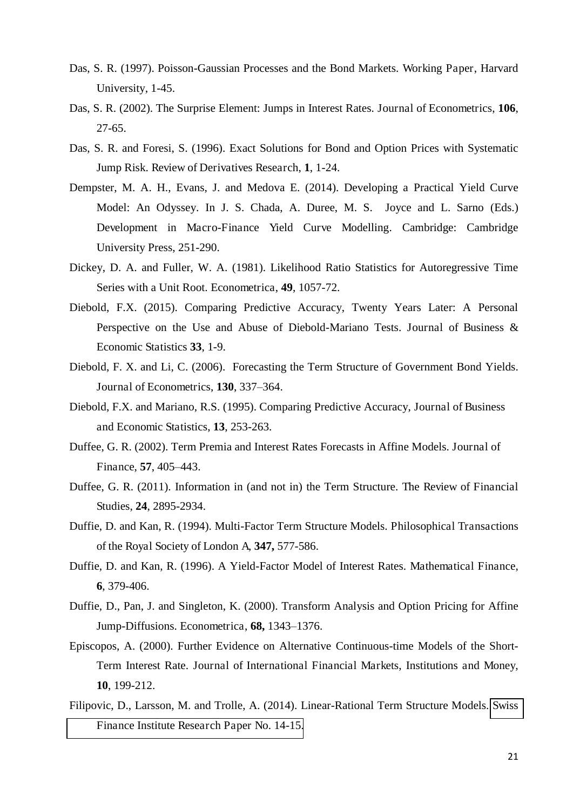- Das, S. R. (1997). Poisson-Gaussian Processes and the Bond Markets. Working Paper, Harvard University, 1-45.
- Das, S. R. (2002). The Surprise Element: Jumps in Interest Rates. Journal of Econometrics, **106**, 27-65.
- Das, S. R. and Foresi, S. (1996). Exact Solutions for Bond and Option Prices with Systematic Jump Risk. Review of Derivatives Research, **1**, 1-24.
- Dempster, M. A. H., Evans, J. and Medova E. (2014). Developing a Practical Yield Curve Model: An Odyssey. In J. S. Chada, A. Duree, M. S. Joyce and L. Sarno (Eds.) Development in Macro-Finance Yield Curve Modelling. Cambridge: Cambridge University Press, 251-290.
- Dickey, D. A. and Fuller, W. A. (1981). Likelihood Ratio Statistics for Autoregressive Time Series with a Unit Root. Econometrica, **49**, 1057-72.
- Diebold, F.X. (2015). Comparing Predictive Accuracy, Twenty Years Later: A Personal Perspective on the Use and Abuse of Diebold-Mariano Tests. Journal of Business & Economic Statistics **33**, 1-9.
- Diebold, F. X. and Li, C. (2006). Forecasting the Term Structure of Government Bond Yields. Journal of Econometrics, **130**, 337–364.
- Diebold, F.X. and Mariano, R.S. (1995). Comparing Predictive Accuracy, Journal of Business and Economic Statistics, **13**, 253-263.
- Duffee, G. R. (2002). Term Premia and Interest Rates Forecasts in Affine Models. Journal of Finance, **57**, 405–443.
- Duffee, G. R. (2011). Information in (and not in) the Term Structure. The Review of Financial Studies, **24**, 2895-2934.
- Duffie, D. and Kan, R. (1994). Multi-Factor Term Structure Models. Philosophical Transactions of the Royal Society of London A, **347,** 577-586.
- Duffie, D. and Kan, R. (1996). A Yield-Factor Model of Interest Rates. Mathematical Finance, **6**, 379-406.
- Duffie, D., Pan, J. and Singleton, K. (2000). Transform Analysis and Option Pricing for Affine Jump-Diffusions. Econometrica, **68,** 1343–1376.
- Episcopos, A. (2000). Further Evidence on Alternative Continuous-time Models of the Short-Term Interest Rate. Journal of International Financial Markets, Institutions and Money, **10**, 199-212.
- Filipovic, D., Larsson, M. and Trolle, A. (2014). Linear-Rational Term Structure Models. [Swiss](http://papers.ssrn.com/sol3/papers.cfm?abstract_id=2397898##)  [Finance Institute Research Paper No. 14-15.](http://papers.ssrn.com/sol3/papers.cfm?abstract_id=2397898##)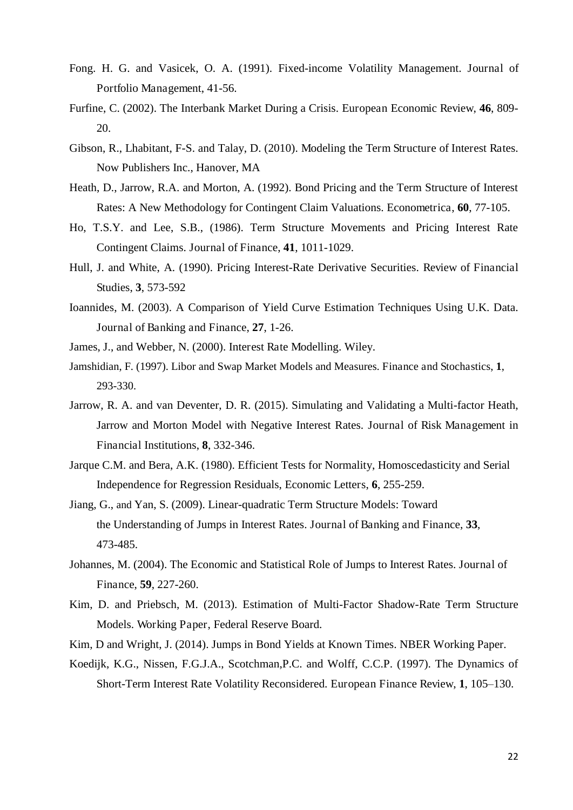- Fong. H. G. and Vasicek, O. A. (1991). Fixed-income Volatility Management. Journal of Portfolio Management, 41-56.
- Furfine, C. (2002). The Interbank Market During a Crisis. European Economic Review, **46**, 809- 20.
- Gibson, R., Lhabitant, F-S. and Talay, D. (2010). Modeling the Term Structure of Interest Rates. Now Publishers Inc., Hanover, MA
- Heath, D., Jarrow, R.A. and Morton, A. (1992). Bond Pricing and the Term Structure of Interest Rates: A New Methodology for Contingent Claim Valuations. Econometrica, **60**, 77-105.
- Ho, T.S.Y. and Lee, S.B., (1986). Term Structure Movements and Pricing Interest Rate Contingent Claims. Journal of Finance, **41**, 1011-1029.
- Hull, J. and White, A. (1990). Pricing Interest-Rate Derivative Securities. Review of Financial Studies, **3**, 573-592
- Ioannides, M. (2003). A Comparison of Yield Curve Estimation Techniques Using U.K. Data. Journal of Banking and Finance, **27**, 1-26.
- James, J., and Webber, N. (2000). Interest Rate Modelling. Wiley.
- Jamshidian, F. (1997). Libor and Swap Market Models and Measures. Finance and Stochastics, **1**, 293-330.
- Jarrow, R. A. and van Deventer, D. R. (2015). Simulating and Validating a Multi-factor Heath, Jarrow and Morton Model with Negative Interest Rates. Journal of Risk Management in Financial Institutions, **8**, 332-346.
- Jarque C.M. and Bera, A.K. (1980). Efficient Tests for Normality, Homoscedasticity and Serial Independence for Regression Residuals, Economic Letters, **6**, 255-259.
- Jiang, G., and Yan, S. (2009). Linear-quadratic Term Structure Models: Toward the Understanding of Jumps in Interest Rates. Journal of Banking and Finance, **33**, 473-485.
- Johannes, M. (2004). The Economic and Statistical Role of Jumps to Interest Rates. Journal of Finance, **59**, 227-260.
- Kim, D. and Priebsch, M. (2013). Estimation of Multi-Factor Shadow-Rate Term Structure Models. Working Paper, Federal Reserve Board.
- Kim, D and Wright, J. (2014). Jumps in Bond Yields at Known Times. NBER Working Paper.
- Koedijk, K.G., Nissen, F.G.J.A., Scotchman,P.C. and Wolff, C.C.P. (1997). The Dynamics of Short-Term Interest Rate Volatility Reconsidered. European Finance Review, **1**, 105–130.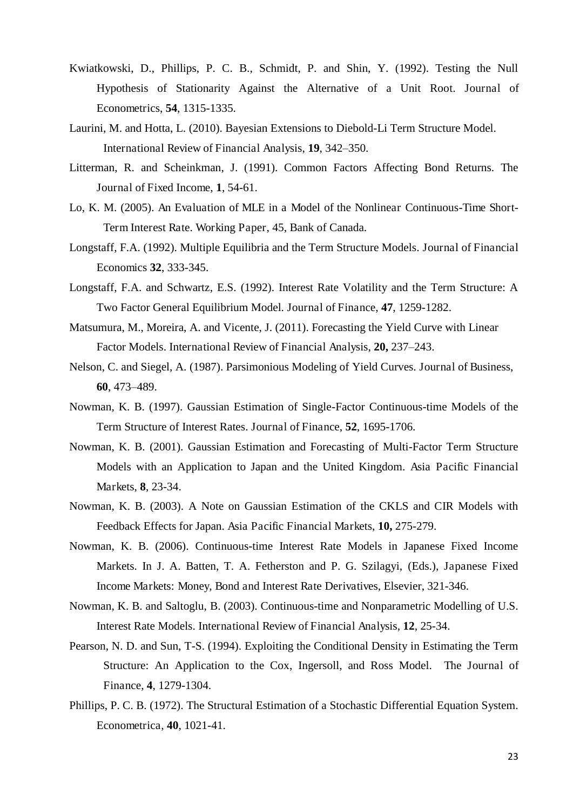- Kwiatkowski, D., Phillips, P. C. B., Schmidt, P. and Shin, Y. (1992). Testing the Null Hypothesis of Stationarity Against the Alternative of a Unit Root. Journal of Econometrics, **54**, 1315-1335.
- Laurini, M. and Hotta, L. (2010). Bayesian Extensions to Diebold-Li Term Structure Model. International Review of Financial Analysis, **19**, 342–350.
- Litterman, R. and Scheinkman, J. (1991). Common Factors Affecting Bond Returns. The Journal of Fixed Income, **1**, 54-61.
- Lo, K. M. (2005). An Evaluation of MLE in a Model of the Nonlinear Continuous-Time Short-Term Interest Rate. Working Paper, 45, Bank of Canada.
- Longstaff, F.A. (1992). Multiple Equilibria and the Term Structure Models. Journal of Financial Economics **32**, 333-345.
- Longstaff, F.A. and Schwartz, E.S. (1992). Interest Rate Volatility and the Term Structure: A Two Factor General Equilibrium Model. Journal of Finance, **47**, 1259-1282.
- Matsumura, M., Moreira, A. and Vicente, J. (2011). Forecasting the Yield Curve with Linear Factor Models. International Review of Financial Analysis, **20,** 237–243.
- Nelson, C. and Siegel, A. (1987). Parsimonious Modeling of Yield Curves. Journal of Business, **60**, 473–489.
- Nowman, K. B. (1997). Gaussian Estimation of Single-Factor Continuous-time Models of the Term Structure of Interest Rates. Journal of Finance, **52**, 1695-1706.
- Nowman, K. B. (2001). Gaussian Estimation and Forecasting of Multi-Factor Term Structure Models with an Application to Japan and the United Kingdom. Asia Pacific Financial Markets, **8**, 23-34.
- Nowman, K. B. (2003). A Note on Gaussian Estimation of the CKLS and CIR Models with Feedback Effects for Japan. Asia Pacific Financial Markets, **10,** 275-279.
- Nowman, K. B. (2006). Continuous-time Interest Rate Models in Japanese Fixed Income Markets. In J. A. Batten, T. A. Fetherston and P. G. Szilagyi, (Eds.), Japanese Fixed Income Markets: Money, Bond and Interest Rate Derivatives, Elsevier, 321-346.
- Nowman, K. B. and Saltoglu, B. (2003). Continuous-time and Nonparametric Modelling of U.S. Interest Rate Models. International Review of Financial Analysis, **12**, 25-34.
- Pearson, N. D. and Sun, T-S. (1994). Exploiting the Conditional Density in Estimating the Term Structure: An Application to the Cox, Ingersoll, and Ross Model. The Journal of Finance, **4**, 1279-1304.
- Phillips, P. C. B. (1972). The Structural Estimation of a Stochastic Differential Equation System. Econometrica, **40**, 1021-41.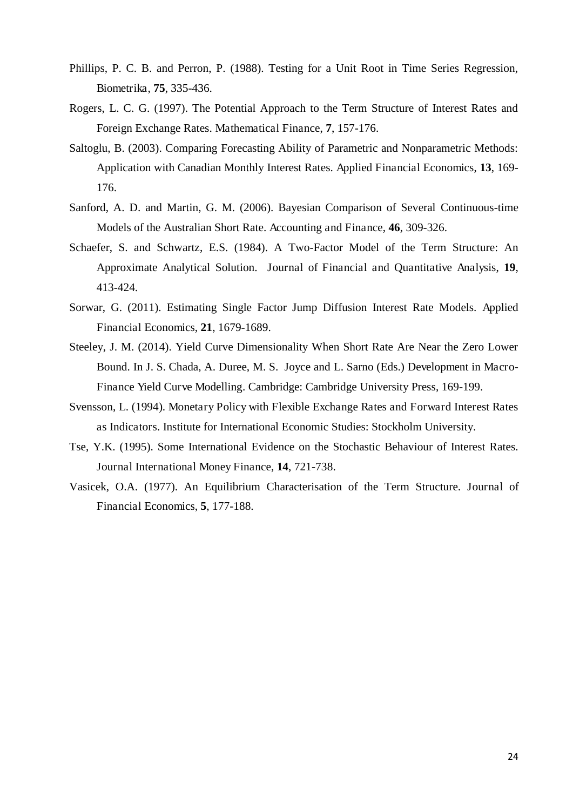- Phillips, P. C. B. and Perron, P. (1988). Testing for a Unit Root in Time Series Regression, Biometrika, **75**, 335-436.
- Rogers, L. C. G. (1997). The Potential Approach to the Term Structure of Interest Rates and Foreign Exchange Rates. Mathematical Finance, **7**, 157-176.
- Saltoglu, B. (2003). Comparing Forecasting Ability of Parametric and Nonparametric Methods: Application with Canadian Monthly Interest Rates. Applied Financial Economics, **13**, 169- 176.
- Sanford, A. D. and Martin, G. M. (2006). Bayesian Comparison of Several Continuous-time Models of the Australian Short Rate. Accounting and Finance, **46**, 309-326.
- Schaefer, S. and Schwartz, E.S. (1984). A Two-Factor Model of the Term Structure: An Approximate Analytical Solution. Journal of Financial and Quantitative Analysis, **19**, 413-424.
- Sorwar, G. (2011). Estimating Single Factor Jump Diffusion Interest Rate Models. Applied Financial Economics, **21**, 1679-1689.
- Steeley, J. M. (2014). Yield Curve Dimensionality When Short Rate Are Near the Zero Lower Bound. In J. S. Chada, A. Duree, M. S. Joyce and L. Sarno (Eds.) Development in Macro-Finance Yield Curve Modelling. Cambridge: Cambridge University Press, 169-199.
- Svensson, L. (1994). Monetary Policy with Flexible Exchange Rates and Forward Interest Rates as Indicators. Institute for International Economic Studies: Stockholm University.
- Tse, Y.K. (1995). Some International Evidence on the Stochastic Behaviour of Interest Rates. Journal International Money Finance, **14**, 721-738.
- Vasicek, O.A. (1977). An Equilibrium Characterisation of the Term Structure. Journal of Financial Economics, **5**, 177-188.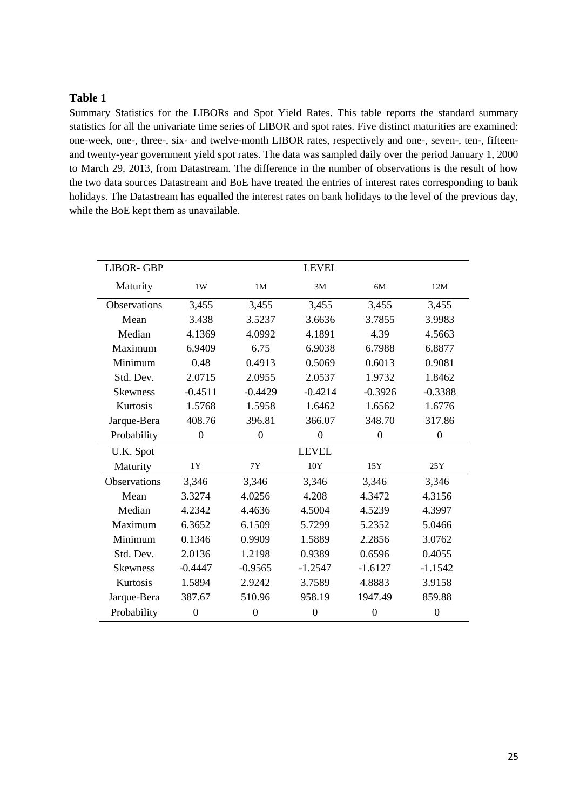Summary Statistics for the LIBORs and Spot Yield Rates. This table reports the standard summary statistics for all the univariate time series of LIBOR and spot rates. Five distinct maturities are examined: one-week, one-, three-, six- and twelve-month LIBOR rates, respectively and one-, seven-, ten-, fifteenand twenty-year government yield spot rates. The data was sampled daily over the period January 1, 2000 to March 29, 2013, from Datastream. The difference in the number of observations is the result of how the two data sources Datastream and BoE have treated the entries of interest rates corresponding to bank holidays. The Datastream has equalled the interest rates on bank holidays to the level of the previous day, while the BoE kept them as unavailable.

| <b>LIBOR-GBP</b>    |                  |                  | <b>LEVEL</b>     |                  |                  |
|---------------------|------------------|------------------|------------------|------------------|------------------|
| Maturity            | 1W               | 1M               | 3M               | 6M               | 12M              |
| <b>Observations</b> | 3,455            | 3,455            | 3,455            | 3,455            | 3,455            |
| Mean                | 3.438            | 3.5237           | 3.6636           | 3.7855           | 3.9983           |
| Median              | 4.1369           | 4.0992           | 4.1891           | 4.39             | 4.5663           |
| Maximum             | 6.9409           | 6.75             | 6.9038           | 6.7988           | 6.8877           |
| Minimum             | 0.48             | 0.4913           | 0.5069           | 0.6013           | 0.9081           |
| Std. Dev.           | 2.0715           | 2.0955           | 2.0537           | 1.9732           | 1.8462           |
| <b>Skewness</b>     | $-0.4511$        | $-0.4429$        | $-0.4214$        | $-0.3926$        | $-0.3388$        |
| Kurtosis            | 1.5768           | 1.5958           | 1.6462           | 1.6562           | 1.6776           |
| Jarque-Bera         | 408.76           | 396.81           | 366.07           | 348.70           | 317.86           |
| Probability         | $\boldsymbol{0}$ | $\boldsymbol{0}$ | $\overline{0}$   | $\overline{0}$   | $\boldsymbol{0}$ |
| U.K. Spot           |                  |                  | <b>LEVEL</b>     |                  |                  |
| Maturity            | 1Y               | 7Y               | 10Y              | 15Y              | 25Y              |
| <b>Observations</b> | 3,346            | 3,346            | 3,346            | 3,346            | 3,346            |
| Mean                | 3.3274           | 4.0256           | 4.208            | 4.3472           | 4.3156           |
| Median              | 4.2342           | 4.4636           | 4.5004           | 4.5239           | 4.3997           |
| Maximum             | 6.3652           | 6.1509           | 5.7299           | 5.2352           | 5.0466           |
| Minimum             | 0.1346           | 0.9909           | 1.5889           | 2.2856           | 3.0762           |
| Std. Dev.           | 2.0136           | 1.2198           | 0.9389           | 0.6596           | 0.4055           |
| <b>Skewness</b>     | $-0.4447$        | $-0.9565$        | $-1.2547$        | $-1.6127$        | $-1.1542$        |
| Kurtosis            | 1.5894           | 2.9242           | 3.7589           | 4.8883           | 3.9158           |
| Jarque-Bera         | 387.67           | 510.96           | 958.19           | 1947.49          | 859.88           |
| Probability         | $\boldsymbol{0}$ | $\boldsymbol{0}$ | $\boldsymbol{0}$ | $\boldsymbol{0}$ | $\boldsymbol{0}$ |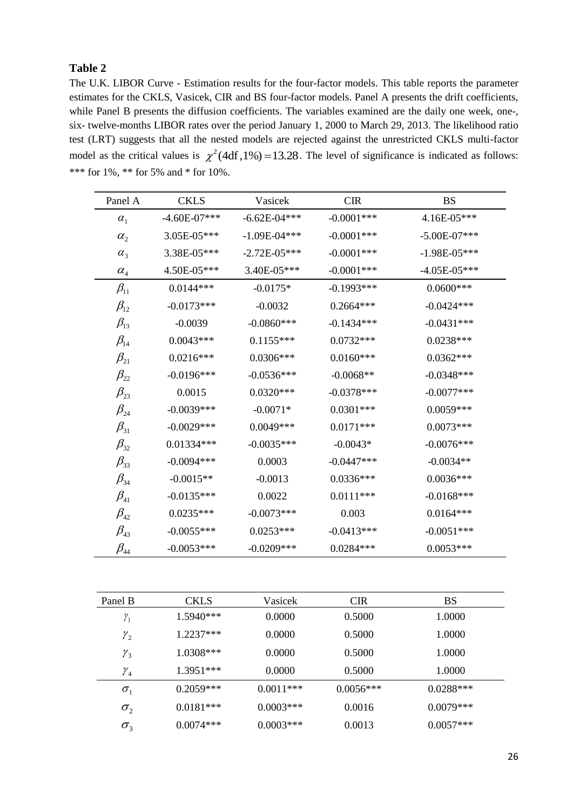The U.K. LIBOR Curve - Estimation results for the four-factor models. This table reports the parameter estimates for the CKLS, Vasicek, CIR and BS four-factor models. Panel A presents the drift coefficients, while Panel B presents the diffusion coefficients. The variables examined are the daily one week, one-, six- twelve-months LIBOR rates over the period January 1, 2000 to March 29, 2013. The likelihood ratio test (LRT) suggests that all the nested models are rejected against the unrestricted CKLS multi-factor model as the critical values is  $\chi^2$ (4df, 1%) = 13.28. The level of significance is indicated as follows: \*\*\* for 1%, \*\* for 5% and \* for 10%.

| Panel A                          | <b>CKLS</b>      | Vasicek          | <b>CIR</b>    | <b>BS</b>        |
|----------------------------------|------------------|------------------|---------------|------------------|
| $\alpha_{1}$                     | $-4.60E - 07***$ | $-6.62E - 04***$ | $-0.0001$ *** | 4.16E-05***      |
| $\alpha_{2}$                     | $3.05E-05***$    | $-1.09E - 04***$ | $-0.0001$ *** | $-5.00E - 07***$ |
| $\alpha_{3}$                     | 3.38E-05***      | $-2.72E - 05***$ | $-0.0001$ *** | $-1.98E - 05***$ |
| $\alpha_{4}$                     | 4.50E-05***      | 3.40E-05***      | $-0.0001$ *** | $-4.05E - 05***$ |
| $\beta_{11}$                     | $0.0144***$      | $-0.0175*$       | $-0.1993***$  | $0.0600***$      |
| $\beta_{12}$                     | $-0.0173***$     | $-0.0032$        | $0.2664***$   | $-0.0424***$     |
| $\beta_{13}$                     | $-0.0039$        | $-0.0860$ ***    | $-0.1434***$  | $-0.0431***$     |
| $\beta_{14}$                     | $0.0043***$      | $0.1155***$      | $0.0732***$   | $0.0238***$      |
| $\beta_{21}$                     | $0.0216***$      | $0.0306***$      | $0.0160***$   | $0.0362***$      |
| $\beta_{22}$                     | $-0.0196***$     | $-0.0536***$     | $-0.0068**$   | $-0.0348***$     |
| $\beta_{23}$                     | 0.0015           | $0.0320***$      | $-0.0378***$  | $-0.0077***$     |
| $\beta_{24}$                     | $-0.0039***$     | $-0.0071*$       | $0.0301***$   | $0.0059***$      |
| $\beta_{31}$                     | $-0.0029$ ***    | $0.0049***$      | $0.0171***$   | $0.0073***$      |
| $\beta_{32}$                     | $0.01334***$     | $-0.0035***$     | $-0.0043*$    | $-0.0076***$     |
| $\beta_{33}$                     | $-0.0094***$     | 0.0003           | $-0.0447***$  | $-0.0034**$      |
| $\beta_{34}$                     | $-0.0015**$      | $-0.0013$        | $0.0336***$   | $0.0036***$      |
| $\beta_{\scriptscriptstyle 41}$  | $-0.0135***$     | 0.0022           | $0.0111***$   | $-0.0168***$     |
| $\beta_{42}$                     | $0.0235***$      | $-0.0073***$     | 0.003         | $0.0164***$      |
| $\beta_{\scriptscriptstyle{43}}$ | $-0.0055***$     | $0.0253***$      | $-0.0413***$  | $-0.0051***$     |
| $\beta_{\scriptscriptstyle{44}}$ | $-0.0053***$     | $-0.0209$ ***    | $0.0284***$   | $0.0053***$      |

| Panel B      | <b>CKLS</b> | Vasicek     | <b>CIR</b>  | <b>BS</b>   |
|--------------|-------------|-------------|-------------|-------------|
| $\gamma_1$   | $1.5940***$ | 0.0000      | 0.5000      | 1.0000      |
| $\gamma_{2}$ | $1.2237***$ | 0.0000      | 0.5000      | 1.0000      |
| $\gamma_{3}$ | $1.0308***$ | 0.0000      | 0.5000      | 1.0000      |
| $\gamma_4$   | $1.3951***$ | 0.0000      | 0.5000      | 1.0000      |
| $\sigma_{1}$ | $0.2059***$ | $0.0011***$ | $0.0056***$ | $0.0288***$ |
| $\sigma_{2}$ | $0.0181***$ | $0.0003***$ | 0.0016      | $0.0079***$ |
| $\sigma_{3}$ | $0.0074***$ | $0.0003***$ | 0.0013      | $0.0057***$ |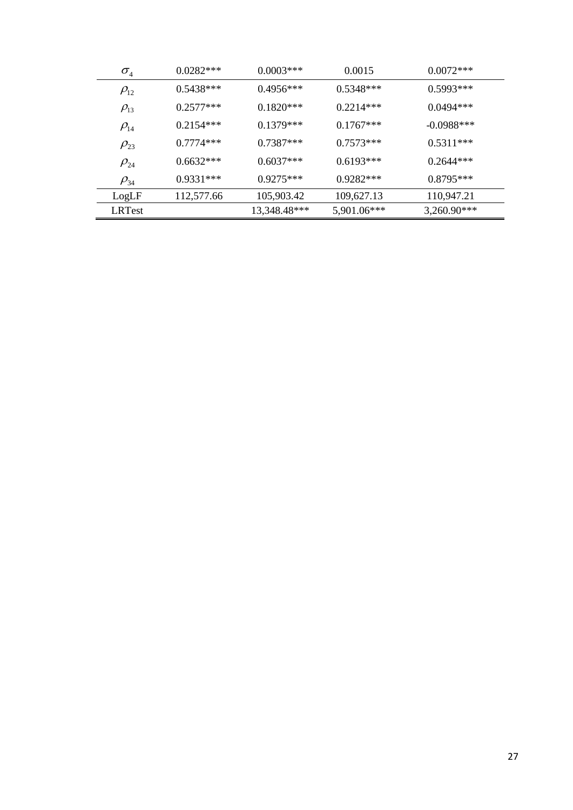| $\sigma_{\scriptscriptstyle 4}$ | $0.0282***$ | $0.0003***$  | 0.0015      | $0.0072***$  |
|---------------------------------|-------------|--------------|-------------|--------------|
| $\rho_{12}$                     | $0.5438***$ | $0.4956***$  | $0.5348***$ | $0.5993***$  |
| $\rho_{13}$                     | $0.2577***$ | $0.1820***$  | $0.2214***$ | $0.0494***$  |
| $\rho_{14}$                     | $0.2154***$ | $0.1379***$  | $0.1767***$ | $-0.0988***$ |
| $\rho_{23}$                     | $0.7774***$ | $0.7387***$  | $0.7573***$ | $0.5311***$  |
| $\rho_{24}$                     | $0.6632***$ | $0.6037***$  | $0.6193***$ | $0.2644***$  |
| $\rho_{34}$                     | $0.9331***$ | $0.9275***$  | $0.9282***$ | $0.8795***$  |
| LogLF                           | 112,577.66  | 105,903.42   | 109,627.13  | 110,947.21   |
| <b>LRTest</b>                   |             | 13,348.48*** | 5,901.06*** | 3,260.90***  |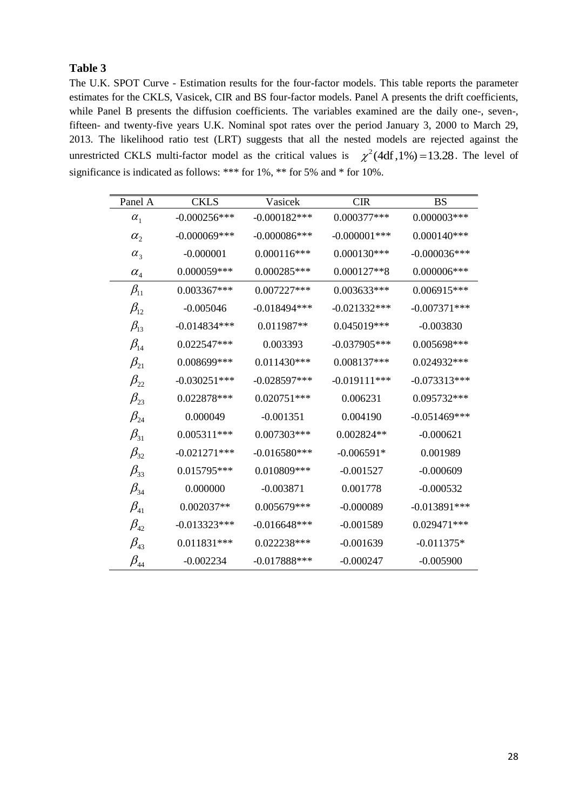The U.K. SPOT Curve - Estimation results for the four-factor models. This table reports the parameter estimates for the CKLS, Vasicek, CIR and BS four-factor models. Panel A presents the drift coefficients, while Panel B presents the diffusion coefficients. The variables examined are the daily one-, seven-, fifteen- and twenty-five years U.K. Nominal spot rates over the period January 3, 2000 to March 29, 2013. The likelihood ratio test (LRT) suggests that all the nested models are rejected against the unrestricted CKLS multi-factor model as the critical values is  $\chi^2(4df, 1\%) = 13.28$ . The level of significance is indicated as follows: \*\*\* for 1%, \*\* for 5% and \* for 10%.

| Panel A                         | <b>CKLS</b>     | Vasicek        | <b>CIR</b>      | <b>BS</b>       |
|---------------------------------|-----------------|----------------|-----------------|-----------------|
| $\alpha_1$                      | $-0.000256***$  | $-0.000182***$ | $0.000377***$   | $0.000003***$   |
| $\alpha_{2}$                    | $-0.000069$ *** | $-0.000086***$ | $-0.000001$ *** | $0.000140***$   |
| $\alpha_{3}$                    | $-0.000001$     | $0.000116***$  | $0.000130***$   | $-0.000036***$  |
| $\alpha_{4}$                    | $0.000059***$   | $0.000285***$  | $0.000127**8$   | $0.000006$ ***  |
| $\beta_{11}$                    | $0.003367***$   | $0.007227***$  | $0.003633***$   | 0.006915***     |
| $\beta_{12}$                    | $-0.005046$     | $-0.018494***$ | $-0.021332***$  | $-0.007371***$  |
| $\beta_{13}$                    | $-0.014834***$  | 0.011987**     | 0.045019 ***    | $-0.003830$     |
| $\beta_{14}$                    | $0.022547***$   | 0.003393       | $-0.037905***$  | 0.005698***     |
| $\beta_{21}$                    | 0.008699***     | $0.011430***$  | 0.008137***     | 0.024932***     |
| $\beta_{22}$                    | $-0.030251***$  | $-0.028597***$ | $-0.019111***$  | $-0.073313***$  |
| $\beta_{23}$                    | 0.022878***     | $0.020751***$  | 0.006231        | $0.095732***$   |
| $\beta_{24}$                    | 0.000049        | $-0.001351$    | 0.004190        | $-0.051469$ *** |
| $\beta_{31}$                    | $0.005311***$   | $0.007303***$  | $0.002824**$    | $-0.000621$     |
| $\beta_{32}$                    | $-0.021271***$  | $-0.016580***$ | $-0.006591*$    | 0.001989        |
| $\beta_{33}$                    | 0.015795***     | 0.010809***    | $-0.001527$     | $-0.000609$     |
| $\beta_{34}$                    | 0.000000        | $-0.003871$    | 0.001778        | $-0.000532$     |
| $\beta_{41}$                    | $0.002037**$    | 0.005679***    | $-0.000089$     | $-0.013891***$  |
| $\beta_{42}$                    | $-0.013323***$  | $-0.016648***$ | $-0.001589$     | $0.029471***$   |
| $\beta_{\scriptscriptstyle 43}$ | 0.011831***     | 0.022238***    | $-0.001639$     | $-0.011375*$    |
| $\beta_{\scriptscriptstyle 44}$ | $-0.002234$     | $-0.017888***$ | $-0.000247$     | $-0.005900$     |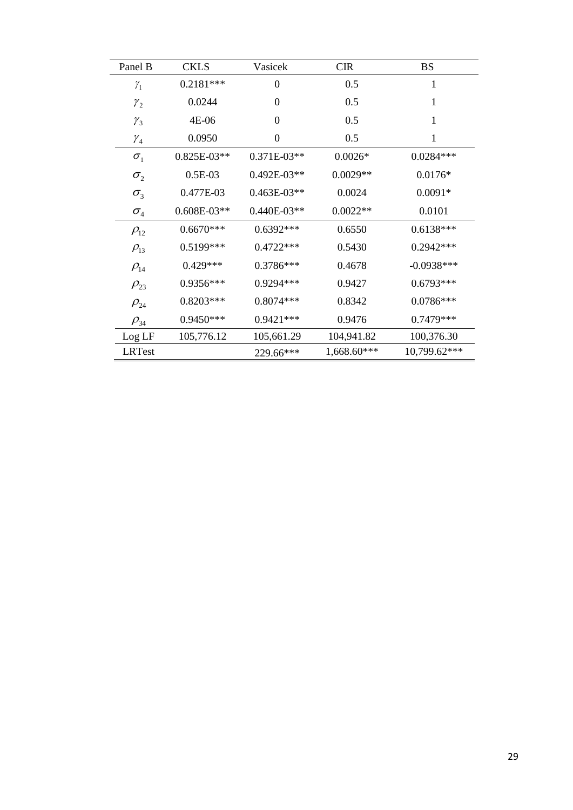| Panel B                         | <b>CKLS</b>   | Vasicek          | <b>CIR</b>  | <b>BS</b>    |
|---------------------------------|---------------|------------------|-------------|--------------|
| $\gamma_{1}$                    | $0.2181***$   | $\boldsymbol{0}$ | 0.5         | 1            |
| $\mathcal{Y}_2$                 | 0.0244        | $\boldsymbol{0}$ | 0.5         | $\mathbf{1}$ |
| $\mathcal{V}_3$                 | 4E-06         | $\boldsymbol{0}$ | 0.5         | $\mathbf{1}$ |
| $\mathcal{V}_4$                 | 0.0950        | $\overline{0}$   | 0.5         | 1            |
| $\sigma_{1}$                    | $0.825E-03**$ | $0.371E-03**$    | $0.0026*$   | $0.0284***$  |
| $\sigma_{2}$                    | $0.5E-03$     | 0.492E-03**      | $0.0029**$  | $0.0176*$    |
| $\sigma_{3}$                    | 0.477E-03     | $0.463E-03**$    | 0.0024      | $0.0091*$    |
| $\sigma_{\scriptscriptstyle 4}$ | $0.608E-03**$ | 0.440E-03**      | $0.0022**$  | 0.0101       |
| $\rho_{12}$                     | $0.6670***$   | $0.6392***$      | 0.6550      | $0.6138***$  |
| $\rho_{13}$                     | 0.5199***     | 0.4722***        | 0.5430      | $0.2942***$  |
| $\rho_{\scriptscriptstyle{14}}$ | $0.429***$    | 0.3786***        | 0.4678      | $-0.0938***$ |
| $\rho_{23}$                     | 0.9356***     | 0.9294 ***       | 0.9427      | $0.6793***$  |
| $\rho_{24}$                     | $0.8203***$   | 0.8074***        | 0.8342      | $0.0786***$  |
| $\rho_{34}$                     | $0.9450***$   | $0.9421***$      | 0.9476      | 0.7479***    |
| Log LF                          | 105,776.12    | 105,661.29       | 104,941.82  | 100,376.30   |
| <b>LRTest</b>                   |               | 229.66***        | 1,668.60*** | 10,799.62*** |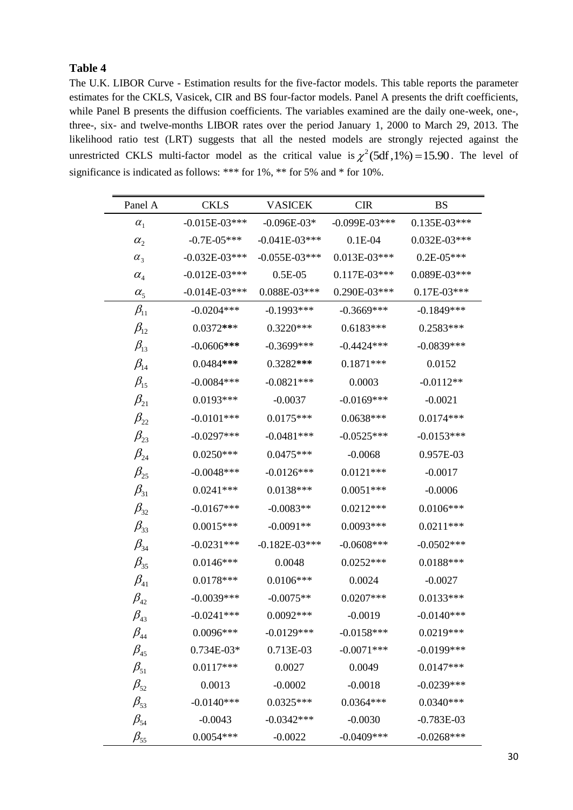The U.K. LIBOR Curve - Estimation results for the five-factor models. This table reports the parameter estimates for the CKLS, Vasicek, CIR and BS four-factor models. Panel A presents the drift coefficients, while Panel B presents the diffusion coefficients. The variables examined are the daily one-week, one-, three-, six- and twelve-months LIBOR rates over the period January 1, 2000 to March 29, 2013. The likelihood ratio test (LRT) suggests that all the nested models are strongly rejected against the unrestricted CKLS multi-factor model as the critical value is  $\chi^2(5df, 1\%) = 15.90$ . The level of significance is indicated as follows: \*\*\* for 1%, \*\* for 5% and \* for 10%.

| Panel A                            | <b>CKLS</b>     | <b>VASICEK</b>    | <b>CIR</b>        | <b>BS</b>      |
|------------------------------------|-----------------|-------------------|-------------------|----------------|
| $\alpha_{1}$                       | $-0.015E-03***$ | $-0.096E-03*$     | $-0.099E - 03***$ | $0.135E-03***$ |
| $\alpha_{2}$                       | $-0.7E - 05***$ | $-0.041E - 03***$ | $0.1E-04$         | $0.032E-03***$ |
| $\alpha_{3}$                       | $-0.032E-03***$ | $-0.055E-03***$   | $0.013E-03***$    | $0.2E - 05***$ |
| $\alpha_{\scriptscriptstyle 4}^{}$ | $-0.012E-03***$ | $0.5E-0.5$        | $0.117E-03***$    | 0.089E-03***   |
| $\alpha_{5}$                       | $-0.014E-03***$ | $0.088E-03***$    | $0.290E-03***$    | $0.17E-03***$  |
| $\beta_{11}$                       | $-0.0204***$    | $-0.1993***$      | $-0.3669$ ***     | $-0.1849***$   |
| $\beta_{12}$                       | $0.0372***$     | $0.3220***$       | $0.6183***$       | $0.2583***$    |
| $\beta_{13}$                       | $-0.0606$ ***   | $-0.3699$ ***     | $-0.4424***$      | $-0.0839***$   |
| $\beta_{14}$                       | 0.0484***       | 0.3282***         | $0.1871***$       | 0.0152         |
| $\beta_{15}$                       | $-0.0084***$    | $-0.0821***$      | 0.0003            | $-0.0112**$    |
| $\beta_{21}$                       | $0.0193***$     | $-0.0037$         | $-0.0169***$      | $-0.0021$      |
| $\beta_{22}$                       | $-0.0101***$    | $0.0175***$       | $0.0638***$       | $0.0174***$    |
| $\beta_{23}$                       | $-0.0297***$    | $-0.0481***$      | $-0.0525***$      | $-0.0153***$   |
| $\beta_{24}$                       | $0.0250***$     | $0.0475***$       | $-0.0068$         | 0.957E-03      |
| $\beta_{25}$                       | $-0.0048***$    | $-0.0126***$      | $0.0121***$       | $-0.0017$      |
| $\beta_{31}$                       | $0.0241***$     | $0.0138***$       | $0.0051***$       | $-0.0006$      |
| $\beta_{32}$                       | $-0.0167***$    | $-0.0083**$       | $0.0212***$       | $0.0106***$    |
| $\beta_{33}$                       | $0.0015***$     | $-0.0091**$       | $0.0093***$       | $0.0211***$    |
| $\beta_{34}$                       | $-0.0231***$    | $-0.182E-03***$   | $-0.0608$ ***     | $-0.0502$ ***  |
| $\beta_{35}$                       | $0.0146***$     | 0.0048            | $0.0252***$       | $0.0188***$    |
| $\beta_{41}$                       | $0.0178***$     | $0.0106***$       | 0.0024            | $-0.0027$      |
| $\beta_{42}$                       | $-0.0039***$    | $-0.0075**$       | $0.0207***$       | $0.0133***$    |
| $\beta_{43}$                       | $-0.0241***$    | $0.0092***$       | $-0.0019$         | $-0.0140***$   |
| $\beta_{\scriptscriptstyle{44}}$   | $0.0096***$     | $-0.0129***$      | $-0.0158***$      | $0.0219***$    |
| $\beta_{\scriptscriptstyle 45}$    | 0.734E-03*      | 0.713E-03         | $-0.0071***$      | $-0.0199***$   |
| $\beta_{51}$                       | $0.0117***$     | 0.0027            | 0.0049            | $0.0147***$    |
| $\beta_{52}$                       | 0.0013          | $-0.0002$         | $-0.0018$         | $-0.0239***$   |
| $\beta_{53}$                       | $-0.0140***$    | $0.0325***$       | $0.0364***$       | $0.0340***$    |
| $\beta_{\scriptscriptstyle{54}}$   | $-0.0043$       | $-0.0342***$      | $-0.0030$         | $-0.783E-03$   |
| $\beta_{55}$                       | $0.0054***$     | $-0.0022$         | $-0.0409***$      | $-0.0268***$   |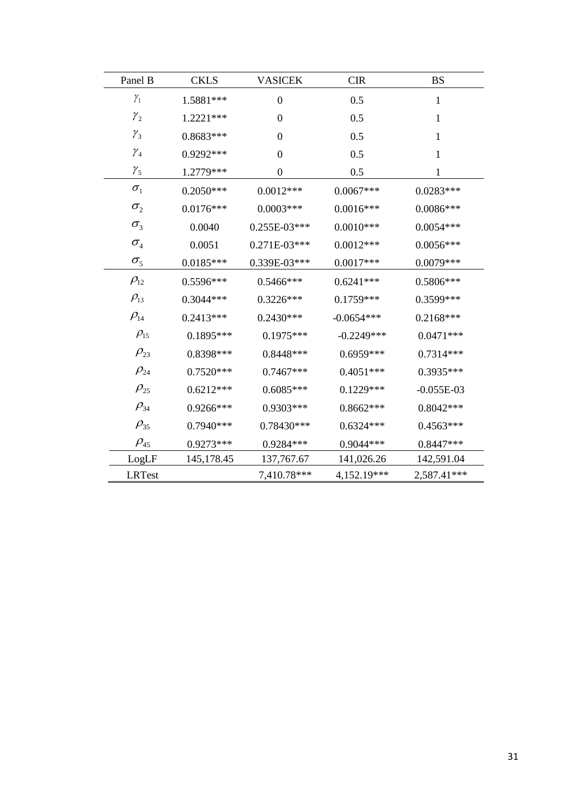| Panel B                         | <b>CKLS</b> | <b>VASICEK</b>   | <b>CIR</b>   | <b>BS</b>    |
|---------------------------------|-------------|------------------|--------------|--------------|
| $\gamma_{1}$                    | 1.5881***   | $\overline{0}$   | 0.5          | $\mathbf{1}$ |
| $\mathcal{Y}_2$                 | $1.2221***$ | $\overline{0}$   | 0.5          | $\mathbf{1}$ |
| $\mathcal{V}_3$                 | $0.8683***$ | $\boldsymbol{0}$ | 0.5          | $\mathbf{1}$ |
| $\gamma_4$                      | $0.9292***$ | $\boldsymbol{0}$ | 0.5          | $\mathbf{1}$ |
| $\mathcal{Y}_5$                 | 1.2779***   | $\overline{0}$   | 0.5          | 1            |
| $\sigma_{1}$                    | $0.2050***$ | $0.0012***$      | $0.0067***$  | $0.0283***$  |
| $\sigma_{2}$                    | $0.0176***$ | $0.0003***$      | $0.0016***$  | $0.0086***$  |
| $\sigma_{3}$                    | 0.0040      | $0.255E-03***$   | $0.0010***$  | $0.0054***$  |
| $\sigma_{\scriptscriptstyle 4}$ | 0.0051      | $0.271E-03***$   | $0.0012***$  | $0.0056***$  |
| $\sigma_{\scriptscriptstyle 5}$ | $0.0185***$ | 0.339E-03***     | $0.0017***$  | $0.0079***$  |
| $\rho_{12}$                     | 0.5596***   | $0.5466***$      | $0.6241***$  | $0.5806***$  |
| $\rho_{13}$                     | $0.3044***$ | $0.3226***$      | $0.1759***$  | 0.3599***    |
| $\rho_{\scriptscriptstyle{14}}$ | $0.2413***$ | $0.2430***$      | $-0.0654***$ | $0.2168***$  |
| $\rho_{15}$                     | $0.1895***$ | $0.1975***$      | $-0.2249***$ | $0.0471***$  |
| $\rho_{23}$                     | 0.8398***   | $0.8448***$      | $0.6959***$  | $0.7314***$  |
| $\rho_{24}$                     | $0.7520***$ | $0.7467***$      | $0.4051***$  | $0.3935***$  |
| $\rho_{25}$                     | $0.6212***$ | $0.6085***$      | $0.1229***$  | $-0.055E-03$ |
| $\rho_{34}$                     | 0.9266***   | $0.9303***$      | $0.8662***$  | $0.8042***$  |
| $\rho_{35}$                     | $0.7940***$ | 0.78430***       | $0.6324***$  | $0.4563***$  |
| $\rho_{\scriptscriptstyle 45}$  | $0.9273***$ | 0.9284 ***       | 0.9044***    | $0.8447***$  |
| LogLF                           | 145,178.45  | 137,767.67       | 141,026.26   | 142,591.04   |
| <b>LRTest</b>                   |             | 7,410.78***      | 4,152.19***  | 2,587.41***  |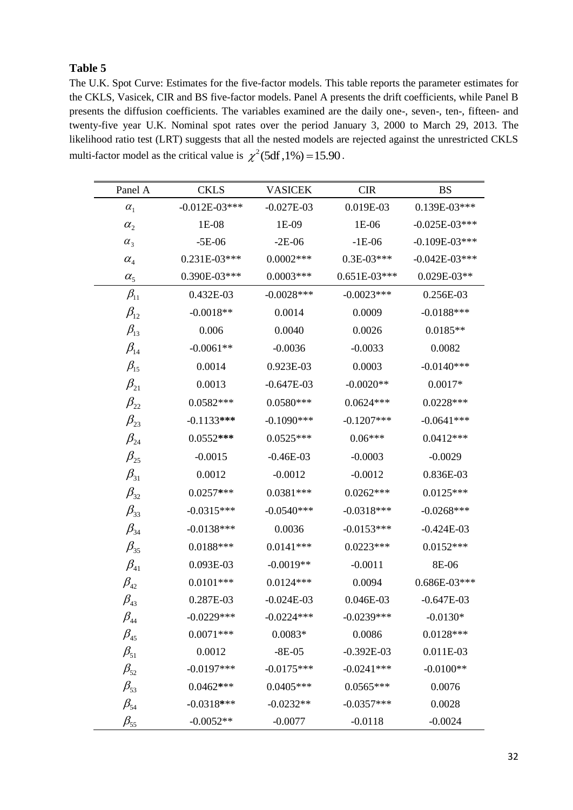The U.K. Spot Curve: Estimates for the five-factor models. This table reports the parameter estimates for the CKLS, Vasicek, CIR and BS five-factor models. Panel A presents the drift coefficients, while Panel B presents the diffusion coefficients. The variables examined are the daily one-, seven-, ten-, fifteen- and twenty-five year U.K. Nominal spot rates over the period January 3, 2000 to March 29, 2013. The likelihood ratio test (LRT) suggests that all the nested models are rejected against the unrestricted CKLS multi-factor model as the critical value is  $\chi^2$ (5df, 1%) = 15.90.

| Panel A                          | <b>CKLS</b>       | <b>VASICEK</b> | <b>CIR</b>     | <b>BS</b>         |
|----------------------------------|-------------------|----------------|----------------|-------------------|
| $\alpha_{1}$                     | $-0.012E - 03***$ | $-0.027E - 03$ | 0.019E-03      | 0.139E-03***      |
| $\alpha_{2}$                     | 1E-08             | 1E-09          | 1E-06          | $-0.025E-03***$   |
| $\alpha_{3}$                     | $-5E-06$          | $-2E-06$       | $-1E-06$       | $-0.109E-03***$   |
| $\alpha_{4}$                     | $0.231E-03***$    | $0.0002***$    | $0.3E-03***$   | $-0.042E - 03***$ |
| $\alpha_{5}$                     | 0.390E-03***      | $0.0003***$    | $0.651E-03***$ | $0.029E-03**$     |
| $\beta_{11}$                     | 0.432E-03         | $-0.0028***$   | $-0.0023***$   | 0.256E-03         |
| $\beta_{12}$                     | $-0.0018**$       | 0.0014         | 0.0009         | $-0.0188$ ***     |
| $\beta_{13}$                     | 0.006             | 0.0040         | 0.0026         | $0.0185**$        |
| $\beta_{14}$                     | $-0.0061**$       | $-0.0036$      | $-0.0033$      | 0.0082            |
| $\beta_{15}$                     | 0.0014            | 0.923E-03      | 0.0003         | $-0.0140***$      |
| $\beta_{21}$                     | 0.0013            | $-0.647E-03$   | $-0.0020**$    | $0.0017*$         |
| $\beta_{22}$                     | $0.0582***$       | $0.0580***$    | $0.0624***$    | $0.0228***$       |
| $\beta_{23}$                     | $-0.1133***$      | $-0.1090***$   | $-0.1207***$   | $-0.0641***$      |
| $\beta_{24}$                     | $0.0552***$       | $0.0525***$    | $0.06***$      | $0.0412***$       |
| $\beta_{25}$                     | $-0.0015$         | $-0.46E-03$    | $-0.0003$      | $-0.0029$         |
| $\beta_{31}$                     | 0.0012            | $-0.0012$      | $-0.0012$      | 0.836E-03         |
| $\beta_{32}$                     | $0.0257***$       | $0.0381***$    | $0.0262***$    | $0.0125***$       |
| $\beta_{33}$                     | $-0.0315***$      | $-0.0540***$   | $-0.0318***$   | $-0.0268***$      |
| $\beta_{34}$                     | $-0.0138***$      | 0.0036         | $-0.0153***$   | $-0.424E-03$      |
| $\beta_{35}$                     | 0.0188***         | $0.0141***$    | $0.0223***$    | $0.0152***$       |
| $\beta_{\scriptscriptstyle 41}$  | $0.093E-03$       | $-0.0019**$    | $-0.0011$      | 8E-06             |
| $\beta_{\scriptscriptstyle{42}}$ | $0.0101***$       | $0.0124***$    | 0.0094         | $0.686E-03***$    |
| $\beta_{\scriptscriptstyle 43}$  | 0.287E-03         | $-0.024E - 03$ | 0.046E-03      | $-0.647E-03$      |
| $\beta_{\scriptscriptstyle 44}$  | $-0.0229***$      | $-0.0224***$   | $-0.0239***$   | $-0.0130*$        |
| $\beta_{45}$                     | $0.0071***$       | $0.0083*$      | 0.0086         | $0.0128***$       |
| $\beta_{51}$                     | 0.0012            | $-8E-05$       | $-0.392E-03$   | $0.011E-03$       |
| $\beta_{52}$                     | $-0.0197***$      | $-0.0175***$   | $-0.0241***$   | $-0.0100**$       |
| $\beta_{53}$                     | $0.0462***$       | $0.0405***$    | $0.0565***$    | 0.0076            |
| $\beta_{54}$                     | $-0.0318***$      | $-0.0232**$    | $-0.0357***$   | 0.0028            |
| $\beta_{\scriptscriptstyle{55}}$ | $-0.0052**$       | $-0.0077$      | $-0.0118$      | $-0.0024$         |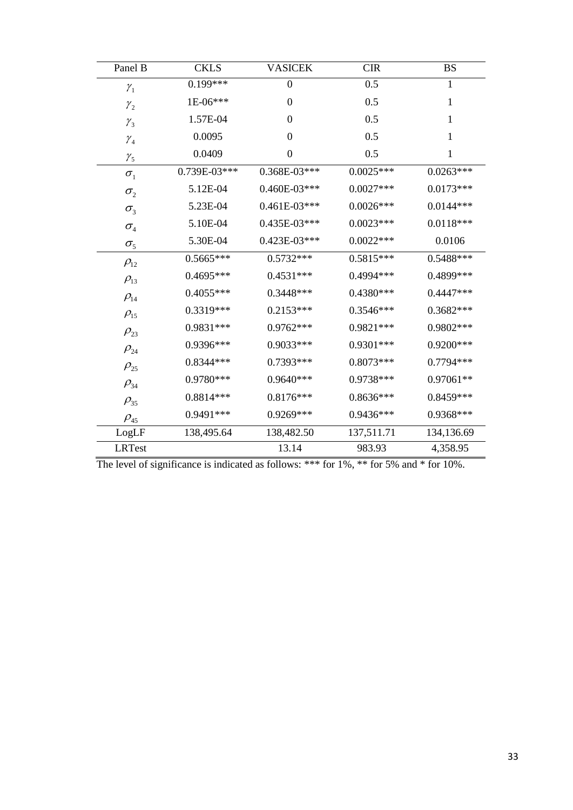| Panel B                          | <b>CKLS</b>  | <b>VASICEK</b>   | <b>CIR</b>  | <b>BS</b>    |
|----------------------------------|--------------|------------------|-------------|--------------|
| $\mathcal{Y}_1$                  | $0.199***$   | $\boldsymbol{0}$ | 0.5         | $\mathbf{1}$ |
| $\mathcal{Y}_2$                  | 1E-06***     | $\boldsymbol{0}$ | 0.5         | $\mathbf{1}$ |
| $\gamma_3$                       | 1.57E-04     | $\overline{0}$   | 0.5         | 1            |
| $\mathcal{Y}_4$                  | 0.0095       | $\overline{0}$   | 0.5         | $\mathbf{1}$ |
| $\gamma_5$                       | 0.0409       | $\boldsymbol{0}$ | 0.5         | 1            |
| $\sigma_{1}$                     | 0.739E-03*** | $0.368E-03***$   | $0.0025***$ | $0.0263***$  |
| $\sigma_{2}$                     | 5.12E-04     | $0.460E-03***$   | $0.0027***$ | $0.0173***$  |
| $\sigma_{3}$                     | 5.23E-04     | $0.461E-03***$   | $0.0026***$ | $0.0144***$  |
| $\sigma_{\scriptscriptstyle 4}$  | 5.10E-04     | $0.435E-03***$   | $0.0023***$ | $0.0118***$  |
| $\sigma_{\scriptscriptstyle{5}}$ | 5.30E-04     | $0.423E-03***$   | $0.0022***$ | 0.0106       |
| $\rho_{12}$                      | $0.5665***$  | $0.5732***$      | $0.5815***$ | $0.5488***$  |
| $\rho_{13}$                      | $0.4695***$  | $0.4531***$      | 0.4994 ***  | 0.4899***    |
| $\rho_{\scriptscriptstyle{14}}$  | $0.4055***$  | $0.3448***$      | 0.4380***   | $0.4447***$  |
| $\rho_{15}$                      | 0.3319***    | $0.2153***$      | 0.3546***   | $0.3682***$  |
| $\rho_{23}$                      | 0.9831 ***   | $0.9762***$      | $0.9821***$ | 0.9802 ***   |
| $\rho_{24}$                      | 0.9396***    | 0.9033***        | 0.9301 ***  | $0.9200***$  |
| $\rho_{_{25}}$                   | 0.8344 ***   | 0.7393***        | $0.8073***$ | 0.7794***    |
| $\rho_{34}$                      | 0.9780***    | $0.9640***$      | 0.9738***   | 0.97061**    |
| $\rho_{35}^{}$                   | $0.8814***$  | $0.8176***$      | 0.8636***   | 0.8459***    |
| $\rho_{\scriptscriptstyle 45}$   | 0.9491 ***   | 0.9269***        | 0.9436***   | 0.9368***    |
| LogLF                            | 138,495.64   | 138,482.50       | 137,511.71  | 134,136.69   |
| <b>LRTest</b>                    |              | 13.14            | 983.93      | 4,358.95     |

The level of significance is indicated as follows: \*\*\* for 1%, \*\* for 5% and \* for 10%.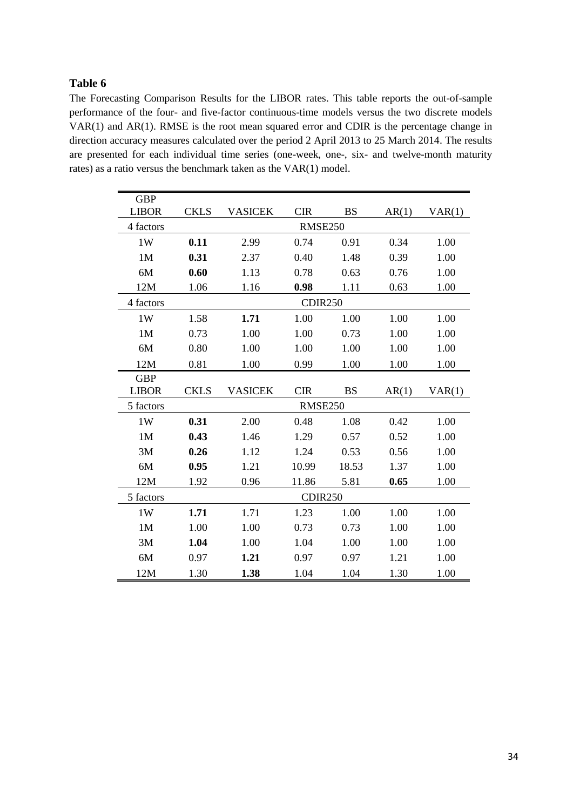The Forecasting Comparison Results for the LIBOR rates. This table reports the out-of-sample performance of the four- and five-factor continuous-time models versus the two discrete models VAR(1) and AR(1). RMSE is the root mean squared error and CDIR is the percentage change in direction accuracy measures calculated over the period 2 April 2013 to 25 March 2014. The results are presented for each individual time series (one-week, one-, six- and twelve-month maturity rates) as a ratio versus the benchmark taken as the VAR(1) model.

| <b>GBP</b>   |             |                |                |           |       |        |  |
|--------------|-------------|----------------|----------------|-----------|-------|--------|--|
| <b>LIBOR</b> | <b>CKLS</b> | <b>VASICEK</b> | <b>CIR</b>     | <b>BS</b> | AR(1) | VAR(1) |  |
| 4 factors    |             | <b>RMSE250</b> |                |           |       |        |  |
| 1W           | 0.11        | 2.99           | 0.74           | 0.91      | 0.34  | 1.00   |  |
| 1M           | 0.31        | 2.37           | 0.40           | 1.48      | 0.39  | 1.00   |  |
| 6M           | 0.60        | 1.13           | 0.78           | 0.63      | 0.76  | 1.00   |  |
| 12M          | 1.06        | 1.16           | 0.98           | 1.11      | 0.63  | 1.00   |  |
| 4 factors    |             |                | <b>CDIR250</b> |           |       |        |  |
| 1W           | 1.58        | 1.71           | 1.00           | 1.00      | 1.00  | 1.00   |  |
| 1M           | 0.73        | 1.00           | 1.00           | 0.73      | 1.00  | 1.00   |  |
| 6M           | 0.80        | 1.00           | 1.00           | 1.00      | 1.00  | 1.00   |  |
| 12M          | 0.81        | 1.00           | 0.99           | 1.00      | 1.00  | 1.00   |  |
| <b>GBP</b>   |             |                |                |           |       |        |  |
| <b>LIBOR</b> | <b>CKLS</b> | <b>VASICEK</b> | <b>CIR</b>     | <b>BS</b> | AR(1) | VAR(1) |  |
| 5 factors    |             |                | <b>RMSE250</b> |           |       |        |  |
| 1W           | 0.31        | 2.00           | 0.48           | 1.08      | 0.42  | 1.00   |  |
| 1M           |             |                |                |           |       |        |  |
|              | 0.43        | 1.46           | 1.29           | 0.57      | 0.52  | 1.00   |  |
| 3M           | 0.26        | 1.12           | 1.24           | 0.53      | 0.56  | 1.00   |  |
| 6M           | 0.95        | 1.21           | 10.99          | 18.53     | 1.37  | 1.00   |  |
| 12M          | 1.92        | 0.96           | 11.86          | 5.81      | 0.65  | 1.00   |  |
| 5 factors    |             |                | <b>CDIR250</b> |           |       |        |  |
| 1W           | 1.71        | 1.71           | 1.23           | 1.00      | 1.00  | 1.00   |  |
| 1M           | 1.00        | 1.00           | 0.73           | 0.73      | 1.00  | 1.00   |  |
| 3M           | 1.04        | 1.00           | 1.04           | 1.00      | 1.00  | 1.00   |  |
| 6M           | 0.97        | 1.21           | 0.97           | 0.97      | 1.21  | 1.00   |  |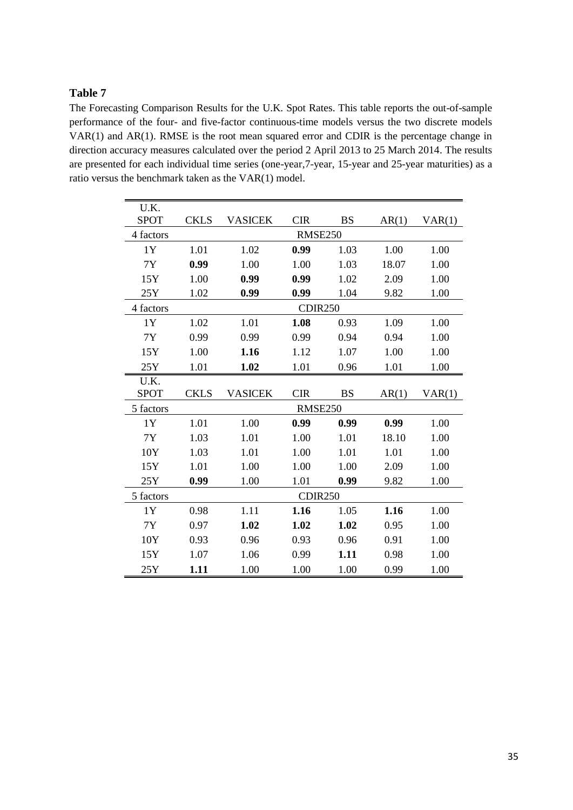The Forecasting Comparison Results for the U.K. Spot Rates. This table reports the out-of-sample performance of the four- and five-factor continuous-time models versus the two discrete models VAR(1) and AR(1). RMSE is the root mean squared error and CDIR is the percentage change in direction accuracy measures calculated over the period 2 April 2013 to 25 March 2014. The results are presented for each individual time series (one-year,7-year, 15-year and 25-year maturities) as a ratio versus the benchmark taken as the VAR(1) model.

| <b>CKLS</b> | <b>VASICEK</b> | <b>CIR</b> | <b>BS</b> | AR(1)                                              | VAR(1) |  |
|-------------|----------------|------------|-----------|----------------------------------------------------|--------|--|
|             | <b>RMSE250</b> |            |           |                                                    |        |  |
| 1.01        | 1.02           | 0.99       | 1.03      | 1.00                                               | 1.00   |  |
| 0.99        | 1.00           | 1.00       | 1.03      | 18.07                                              | 1.00   |  |
| 1.00        | 0.99           | 0.99       | 1.02      | 2.09                                               | 1.00   |  |
| 1.02        | 0.99           | 0.99       | 1.04      | 9.82                                               | 1.00   |  |
|             |                |            |           |                                                    |        |  |
| 1.02        | 1.01           | 1.08       | 0.93      | 1.09                                               | 1.00   |  |
| 0.99        | 0.99           | 0.99       | 0.94      | 0.94                                               | 1.00   |  |
| 1.00        | 1.16           | 1.12       | 1.07      | 1.00                                               | 1.00   |  |
| 1.01        | 1.02           | 1.01       | 0.96      | 1.01                                               | 1.00   |  |
|             |                |            |           |                                                    |        |  |
| <b>CKLS</b> | <b>VASICEK</b> | <b>CIR</b> | <b>BS</b> | AR(1)                                              | VAR(1) |  |
|             |                |            |           |                                                    |        |  |
| 1.01        | 1.00           | 0.99       | 0.99      | 0.99                                               | 1.00   |  |
| 1.03        | 1.01           | 1.00       | 1.01      | 18.10                                              | 1.00   |  |
| 1.03        | 1.01           | 1.00       | 1.01      | 1.01                                               | 1.00   |  |
| 1.01        | 1.00           | 1.00       | 1.00      | 2.09                                               | 1.00   |  |
| 0.99        | 1.00           | 1.01       | 0.99      | 9.82                                               | 1.00   |  |
|             |                |            |           |                                                    |        |  |
| 0.98        | 1.11           | 1.16       | 1.05      | 1.16                                               | 1.00   |  |
| 0.97        | 1.02           | 1.02       | 1.02      | 0.95                                               | 1.00   |  |
| 0.93        | 0.96           | 0.93       | 0.96      | 0.91                                               | 1.00   |  |
| 1.07        | 1.06           | 0.99       | 1.11      | 0.98                                               | 1.00   |  |
| 1.11        | 1.00           | 1.00       | 1.00      | 0.99                                               | 1.00   |  |
|             |                |            |           | <b>CDIR250</b><br><b>RMSE250</b><br><b>CDIR250</b> |        |  |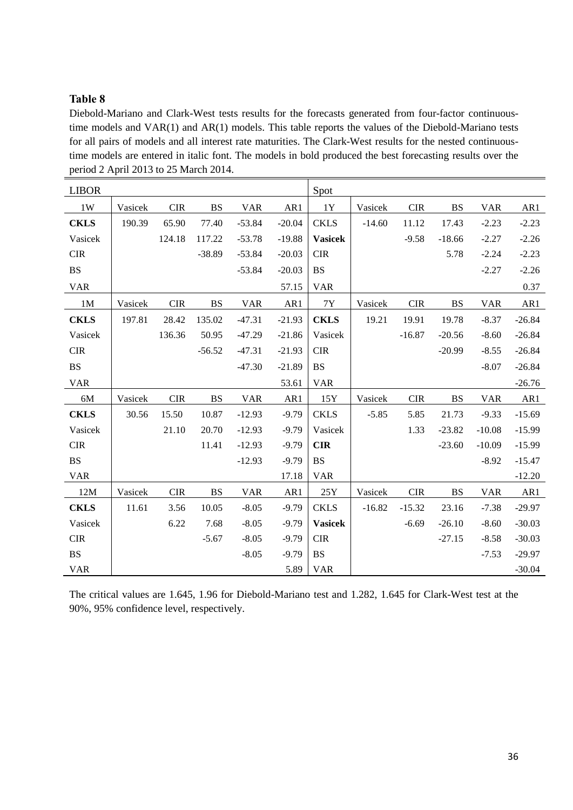Diebold-Mariano and Clark-West tests results for the forecasts generated from four-factor continuoustime models and VAR(1) and AR(1) models. This table reports the values of the Diebold-Mariano tests for all pairs of models and all interest rate maturities. The Clark-West results for the nested continuoustime models are entered in italic font. The models in bold produced the best forecasting results over the period 2 April 2013 to 25 March 2014.

| <b>LIBOR</b>           |         |            |           |            |          | Spot           |          |            |           |            |          |
|------------------------|---------|------------|-----------|------------|----------|----------------|----------|------------|-----------|------------|----------|
| 1W                     | Vasicek | <b>CIR</b> | <b>BS</b> | <b>VAR</b> | AR1      | 1Y             | Vasicek  | <b>CIR</b> | <b>BS</b> | <b>VAR</b> | AR1      |
| <b>CKLS</b>            | 190.39  | 65.90      | 77.40     | $-53.84$   | $-20.04$ | <b>CKLS</b>    | $-14.60$ | 11.12      | 17.43     | $-2.23$    | $-2.23$  |
| Vasicek                |         | 124.18     | 117.22    | $-53.78$   | $-19.88$ | <b>Vasicek</b> |          | $-9.58$    | $-18.66$  | $-2.27$    | $-2.26$  |
| $\rm CIR$              |         |            | $-38.89$  | $-53.84$   | $-20.03$ | <b>CIR</b>     |          |            | 5.78      | $-2.24$    | $-2.23$  |
| $\mathbf{B}\mathbf{S}$ |         |            |           | $-53.84$   | $-20.03$ | <b>BS</b>      |          |            |           | $-2.27$    | $-2.26$  |
| <b>VAR</b>             |         |            |           |            | 57.15    | <b>VAR</b>     |          |            |           |            | 0.37     |
| 1 <sub>M</sub>         | Vasicek | <b>CIR</b> | <b>BS</b> | <b>VAR</b> | AR1      | $7\mathrm{Y}$  | Vasicek  | <b>CIR</b> | <b>BS</b> | <b>VAR</b> | AR1      |
| <b>CKLS</b>            | 197.81  | 28.42      | 135.02    | $-47.31$   | $-21.93$ | <b>CKLS</b>    | 19.21    | 19.91      | 19.78     | $-8.37$    | $-26.84$ |
| Vasicek                |         | 136.36     | 50.95     | $-47.29$   | $-21.86$ | Vasicek        |          | $-16.87$   | $-20.56$  | $-8.60$    | $-26.84$ |
| $\rm CIR$              |         |            | $-56.52$  | $-47.31$   | $-21.93$ | <b>CIR</b>     |          |            | $-20.99$  | $-8.55$    | $-26.84$ |
| $\mathbf{B}\mathbf{S}$ |         |            |           | $-47.30$   | $-21.89$ | <b>BS</b>      |          |            |           | $-8.07$    | $-26.84$ |
| <b>VAR</b>             |         |            |           |            | 53.61    | <b>VAR</b>     |          |            |           |            | $-26.76$ |
| 6M                     | Vasicek | <b>CIR</b> | <b>BS</b> | <b>VAR</b> | AR1      | 15Y            | Vasicek  | <b>CIR</b> | <b>BS</b> | <b>VAR</b> | AR1      |
| <b>CKLS</b>            | 30.56   | 15.50      | 10.87     | $-12.93$   | $-9.79$  | <b>CKLS</b>    | $-5.85$  | 5.85       | 21.73     | $-9.33$    | $-15.69$ |
| Vasicek                |         | 21.10      | 20.70     | $-12.93$   | $-9.79$  | Vasicek        |          | 1.33       | $-23.82$  | $-10.08$   | $-15.99$ |
| <b>CIR</b>             |         |            | 11.41     | $-12.93$   | $-9.79$  | <b>CIR</b>     |          |            | $-23.60$  | $-10.09$   | $-15.99$ |
| $\mathbf{B}\mathbf{S}$ |         |            |           | $-12.93$   | $-9.79$  | <b>BS</b>      |          |            |           | $-8.92$    | $-15.47$ |
| <b>VAR</b>             |         |            |           |            | 17.18    | <b>VAR</b>     |          |            |           |            | $-12.20$ |
| 12M                    | Vasicek | <b>CIR</b> | <b>BS</b> | <b>VAR</b> | AR1      | $25\mathrm{Y}$ | Vasicek  | <b>CIR</b> | <b>BS</b> | <b>VAR</b> | AR1      |
| <b>CKLS</b>            | 11.61   | 3.56       | 10.05     | $-8.05$    | $-9.79$  | <b>CKLS</b>    | $-16.82$ | $-15.32$   | 23.16     | $-7.38$    | $-29.97$ |
| Vasicek                |         | 6.22       | 7.68      | $-8.05$    | $-9.79$  | <b>Vasicek</b> |          | $-6.69$    | $-26.10$  | $-8.60$    | $-30.03$ |
| $\rm CIR$              |         |            | $-5.67$   | $-8.05$    | $-9.79$  | <b>CIR</b>     |          |            | $-27.15$  | $-8.58$    | $-30.03$ |
| <b>BS</b>              |         |            |           | $-8.05$    | $-9.79$  | <b>BS</b>      |          |            |           | $-7.53$    | $-29.97$ |
| <b>VAR</b>             |         |            |           |            | 5.89     | <b>VAR</b>     |          |            |           |            | $-30.04$ |

The critical values are 1.645, 1.96 for Diebold-Mariano test and 1.282, 1.645 for Clark-West test at the 90%, 95% confidence level, respectively.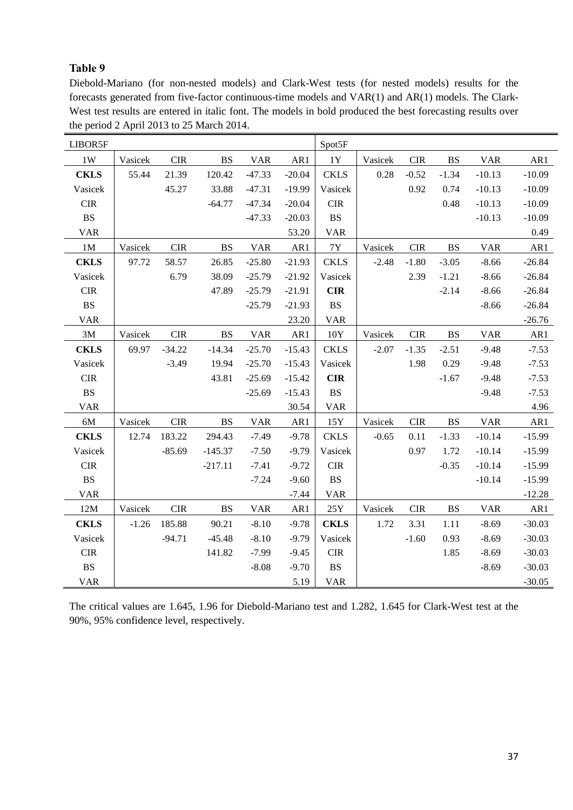Diebold-Mariano (for non-nested models) and Clark-West tests (for nested models) results for the forecasts generated from five-factor continuous-time models and VAR(1) and AR(1) models. The Clark-West test results are entered in italic font. The models in bold produced the best forecasting results over the period 2 April 2013 to 25 March 2014.

| LIBOR5F        |         |            |                        |            |          | Spot5F                      |         |            |           |            |          |
|----------------|---------|------------|------------------------|------------|----------|-----------------------------|---------|------------|-----------|------------|----------|
| 1W             | Vasicek | <b>CIR</b> | $\mathbf{B}\mathbf{S}$ | <b>VAR</b> | AR1      | $1\mathrm{Y}$               | Vasicek | $\rm CIR$  | <b>BS</b> | <b>VAR</b> | AR1      |
| <b>CKLS</b>    | 55.44   | 21.39      | 120.42                 | $-47.33$   | $-20.04$ | <b>CKLS</b>                 | 0.28    | $-0.52$    | $-1.34$   | $-10.13$   | $-10.09$ |
| Vasicek        |         | 45.27      | 33.88                  | $-47.31$   | $-19.99$ | Vasicek                     |         | 0.92       | 0.74      | $-10.13$   | $-10.09$ |
| CIR            |         |            | $-64.77$               | $-47.34$   | $-20.04$ | CIR                         |         |            | 0.48      | $-10.13$   | $-10.09$ |
| <b>BS</b>      |         |            |                        | $-47.33$   | $-20.03$ | <b>BS</b>                   |         |            |           | $-10.13$   | $-10.09$ |
| <b>VAR</b>     |         |            |                        |            | 53.20    | <b>VAR</b>                  |         |            |           |            | 0.49     |
| 1 <sub>M</sub> | Vasicek | <b>CIR</b> | <b>BS</b>              | <b>VAR</b> | AR1      | $7\,\mathrm{Y}$             | Vasicek | <b>CIR</b> | <b>BS</b> | <b>VAR</b> | AR1      |
| <b>CKLS</b>    | 97.72   | 58.57      | 26.85                  | $-25.80$   | $-21.93$ | <b>CKLS</b>                 | $-2.48$ | $-1.80$    | $-3.05$   | $-8.66$    | $-26.84$ |
| Vasicek        |         | 6.79       | 38.09                  | $-25.79$   | $-21.92$ | Vasicek                     |         | 2.39       | $-1.21$   | $-8.66$    | $-26.84$ |
| CIR            |         |            | 47.89                  | $-25.79$   | $-21.91$ | <b>CIR</b>                  |         |            | $-2.14$   | $-8.66$    | $-26.84$ |
| <b>BS</b>      |         |            |                        | $-25.79$   | $-21.93$ | <b>BS</b>                   |         |            |           | $-8.66$    | $-26.84$ |
| <b>VAR</b>     |         |            |                        |            | 23.20    | <b>VAR</b>                  |         |            |           |            | $-26.76$ |
| 3M             | Vasicek | <b>CIR</b> | <b>BS</b>              | <b>VAR</b> | AR1      | $10\mathrm{Y}$              | Vasicek | <b>CIR</b> | <b>BS</b> | <b>VAR</b> | AR1      |
| <b>CKLS</b>    | 69.97   | $-34.22$   | $-14.34$               | $-25.70$   | $-15.43$ | <b>CKLS</b>                 | $-2.07$ | $-1.35$    | $-2.51$   | $-9.48$    | $-7.53$  |
| Vasicek        |         | $-3.49$    | 19.94                  | $-25.70$   | $-15.43$ | Vasicek                     |         | 1.98       | 0.29      | $-9.48$    | $-7.53$  |
| $\rm CIR$      |         |            | 43.81                  | $-25.69$   | $-15.42$ | <b>CIR</b>                  |         |            | $-1.67$   | $-9.48$    | $-7.53$  |
| $_{\rm BS}$    |         |            |                        | $-25.69$   | $-15.43$ | <b>BS</b>                   |         |            |           | $-9.48$    | $-7.53$  |
| <b>VAR</b>     |         |            |                        |            | 30.54    | <b>VAR</b>                  |         |            |           |            | 4.96     |
| 6M             | Vasicek | <b>CIR</b> | <b>BS</b>              | <b>VAR</b> | AR1      | $15\mathrm{Y}$              | Vasicek | <b>CIR</b> | <b>BS</b> | <b>VAR</b> | AR1      |
| <b>CKLS</b>    | 12.74   | 183.22     | 294.43                 | $-7.49$    | $-9.78$  | <b>CKLS</b>                 | $-0.65$ | 0.11       | $-1.33$   | $-10.14$   | $-15.99$ |
| Vasicek        |         | $-85.69$   | $-145.37$              | $-7.50$    | $-9.79$  | Vasicek                     |         | 0.97       | 1.72      | $-10.14$   | $-15.99$ |
| <b>CIR</b>     |         |            | $-217.11$              | $-7.41$    | $-9.72$  | CIR                         |         |            | $-0.35$   | $-10.14$   | $-15.99$ |
| <b>BS</b>      |         |            |                        | $-7.24$    | $-9.60$  | <b>BS</b>                   |         |            |           | $-10.14$   | $-15.99$ |
| <b>VAR</b>     |         |            |                        |            | $-7.44$  | <b>VAR</b>                  |         |            |           |            | $-12.28$ |
| 12M            | Vasicek | <b>CIR</b> | $\mathbf{B}\mathbf{S}$ | <b>VAR</b> | AR1      | $25\ensuremath{\mathrm{Y}}$ | Vasicek | <b>CIR</b> | <b>BS</b> | <b>VAR</b> | AR1      |
| <b>CKLS</b>    | $-1.26$ | 185.88     | 90.21                  | $-8.10$    | $-9.78$  | <b>CKLS</b>                 | 1.72    | 3.31       | 1.11      | $-8.69$    | $-30.03$ |
| Vasicek        |         | $-94.71$   | $-45.48$               | $-8.10$    | $-9.79$  | Vasicek                     |         | $-1.60$    | 0.93      | $-8.69$    | $-30.03$ |
| CIR            |         |            | 141.82                 | $-7.99$    | $-9.45$  | <b>CIR</b>                  |         |            | 1.85      | $-8.69$    | $-30.03$ |
| $_{\rm BS}$    |         |            |                        | $-8.08$    | $-9.70$  | <b>BS</b>                   |         |            |           | $-8.69$    | $-30.03$ |
| <b>VAR</b>     |         |            |                        |            | 5.19     | <b>VAR</b>                  |         |            |           |            | $-30.05$ |

The critical values are 1.645, 1.96 for Diebold-Mariano test and 1.282, 1.645 for Clark-West test at the 90%, 95% confidence level, respectively.